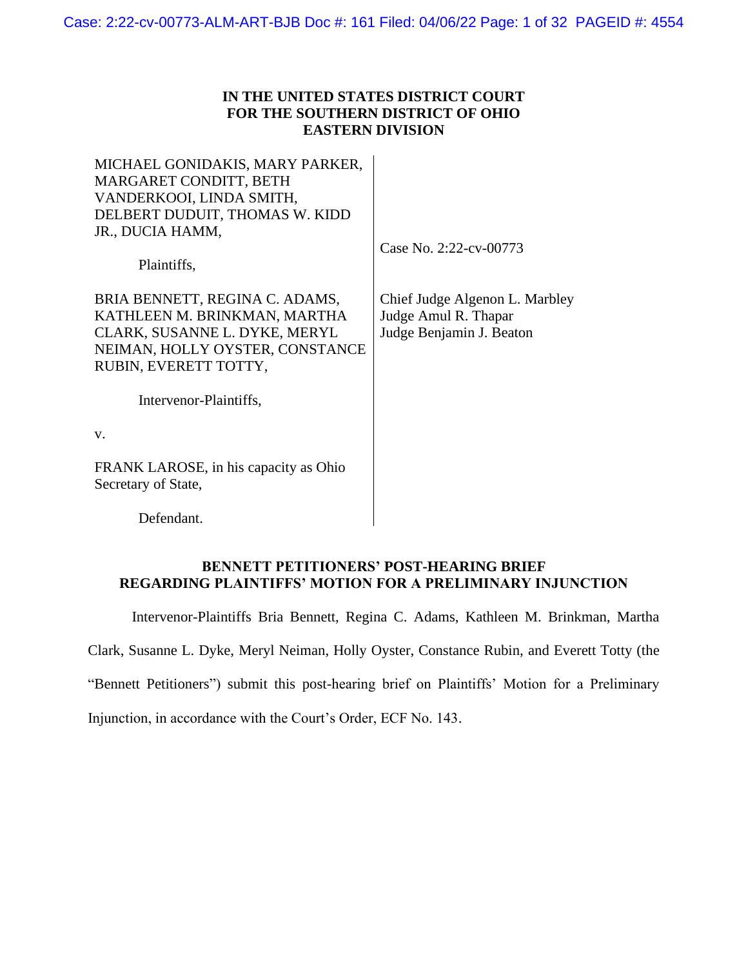## **IN THE UNITED STATES DISTRICT COURT FOR THE SOUTHERN DISTRICT OF OHIO EASTERN DIVISION**

MICHAEL GONIDAKIS, MARY PARKER, MARGARET CONDITT, BETH VANDERKOOI, LINDA SMITH, DELBERT DUDUIT, THOMAS W. KIDD JR., DUCIA HAMM,

Case No. 2:22-cv-00773

Plaintiffs,

BRIA BENNETT, REGINA C. ADAMS, KATHLEEN M. BRINKMAN, MARTHA CLARK, SUSANNE L. DYKE, MERYL NEIMAN, HOLLY OYSTER, CONSTANCE RUBIN, EVERETT TOTTY,

Chief Judge Algenon L. Marbley Judge Amul R. Thapar Judge Benjamin J. Beaton

Intervenor-Plaintiffs,

v.

FRANK LAROSE, in his capacity as Ohio Secretary of State,

Defendant.

## **BENNETT PETITIONERS' POST-HEARING BRIEF REGARDING PLAINTIFFS' MOTION FOR A PRELIMINARY INJUNCTION**

Intervenor-Plaintiffs Bria Bennett, Regina C. Adams, Kathleen M. Brinkman, Martha

Clark, Susanne L. Dyke, Meryl Neiman, Holly Oyster, Constance Rubin, and Everett Totty (the

"Bennett Petitioners") submit this post-hearing brief on Plaintiffs' Motion for a Preliminary

Injunction, in accordance with the Court's Order, ECF No. 143.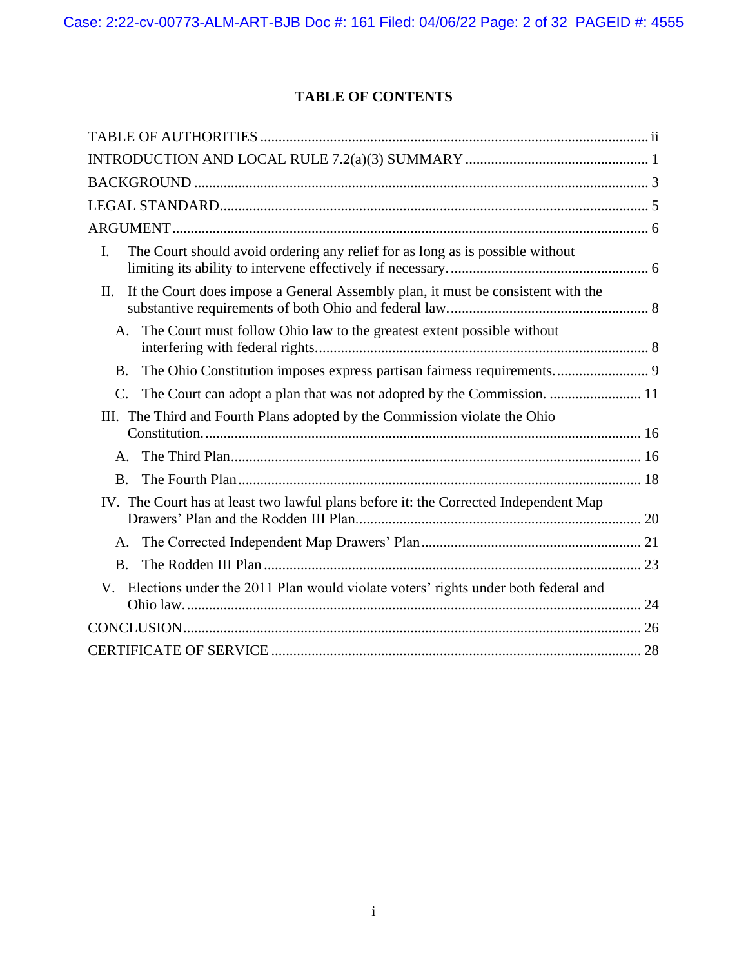## **TABLE OF CONTENTS**

| The Court should avoid ordering any relief for as long as is possible without<br>I.       |  |
|-------------------------------------------------------------------------------------------|--|
| If the Court does impose a General Assembly plan, it must be consistent with the<br>II.   |  |
| The Court must follow Ohio law to the greatest extent possible without<br>A.              |  |
| The Ohio Constitution imposes express partisan fairness requirements 9<br><b>B.</b>       |  |
| The Court can adopt a plan that was not adopted by the Commission.  11<br>$\mathcal{C}$ . |  |
| III. The Third and Fourth Plans adopted by the Commission violate the Ohio                |  |
|                                                                                           |  |
| A.                                                                                        |  |
| <b>B.</b>                                                                                 |  |
| IV. The Court has at least two lawful plans before it: the Corrected Independent Map      |  |
|                                                                                           |  |
| A.                                                                                        |  |
| <b>B.</b>                                                                                 |  |
| Elections under the 2011 Plan would violate voters' rights under both federal and<br>V.   |  |
|                                                                                           |  |
|                                                                                           |  |
|                                                                                           |  |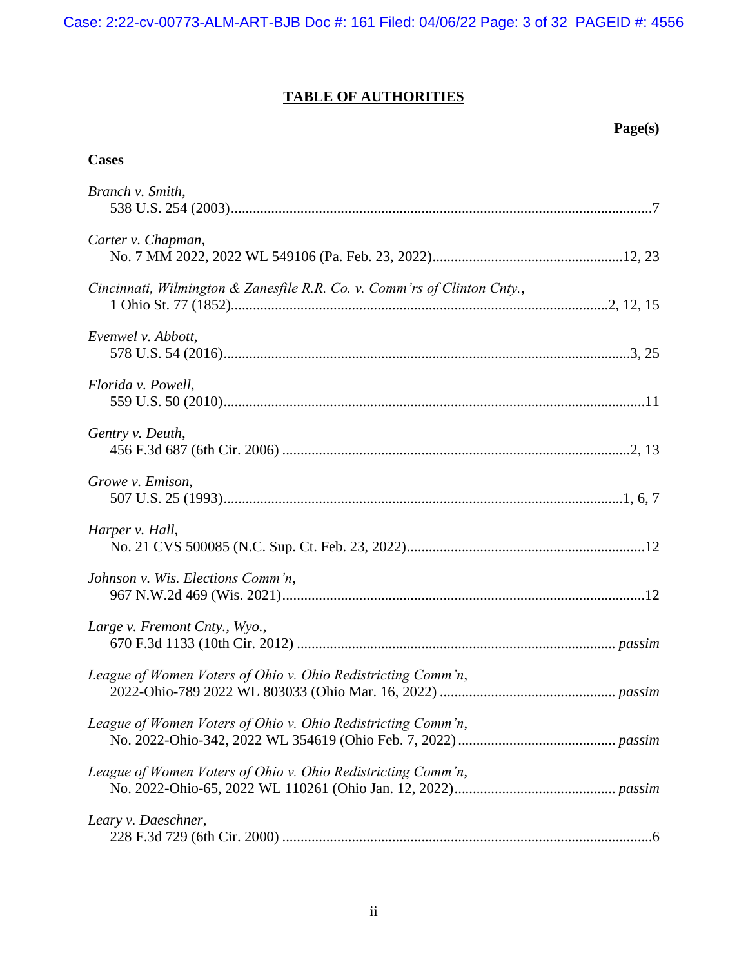# **TABLE OF AUTHORITIES**

## **Page(s)**

## <span id="page-2-0"></span>**Cases**

| Branch v. Smith,                                                         |
|--------------------------------------------------------------------------|
| Carter v. Chapman,                                                       |
| Cincinnati, Wilmington & Zanesfile R.R. Co. v. Comm'rs of Clinton Cnty., |
| Evenwel v. Abbott,                                                       |
| Florida v. Powell,                                                       |
| Gentry v. Deuth,                                                         |
| Growe v. Emison,                                                         |
| Harper v. Hall,                                                          |
| Johnson v. Wis. Elections Comm'n,                                        |
| Large v. Fremont Cnty., Wyo.,                                            |
| League of Women Voters of Ohio v. Ohio Redistricting Comm'n,             |
| League of Women Voters of Ohio v. Ohio Redistricting Comm'n,             |
| League of Women Voters of Ohio v. Ohio Redistricting Comm'n,             |
| Leary v. Daeschner,                                                      |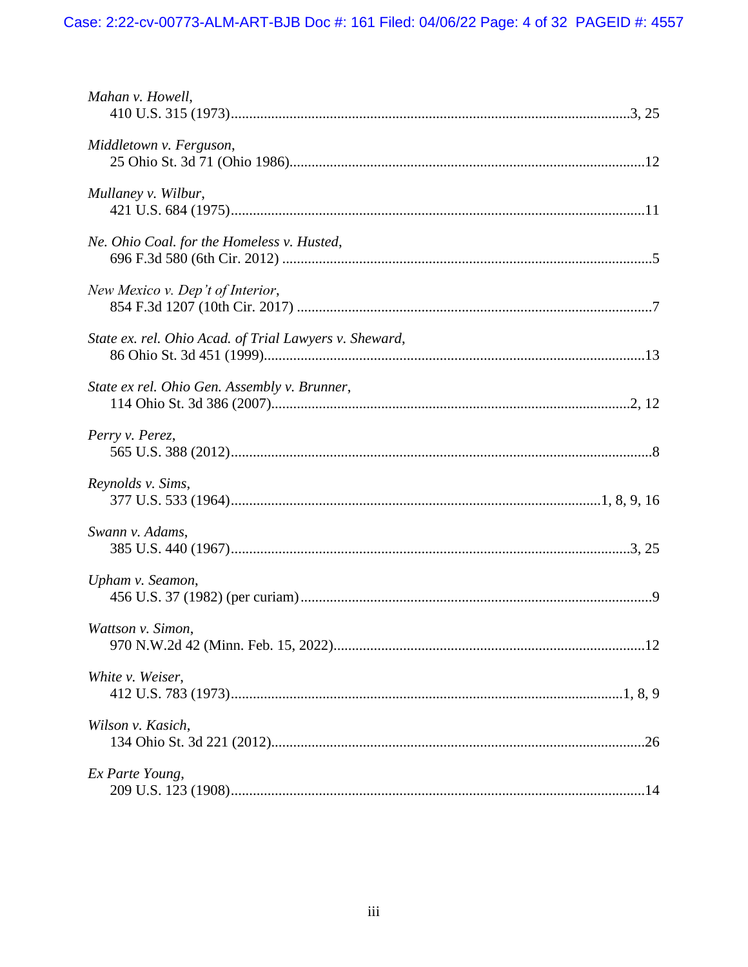| Mahan v. Howell,                                       |
|--------------------------------------------------------|
| Middletown v. Ferguson,                                |
| Mullaney v. Wilbur,                                    |
| Ne. Ohio Coal. for the Homeless v. Husted,             |
| New Mexico v. Dep't of Interior,                       |
| State ex. rel. Ohio Acad. of Trial Lawyers v. Sheward, |
| State ex rel. Ohio Gen. Assembly v. Brunner,           |
| Perry v. Perez,                                        |
| Reynolds v. Sims,                                      |
| Swann v. Adams,                                        |
| Upham v. Seamon,                                       |
| Wattson v. Simon,                                      |
| White v. Weiser,                                       |
| Wilson v. Kasich,                                      |
| Ex Parte Young,                                        |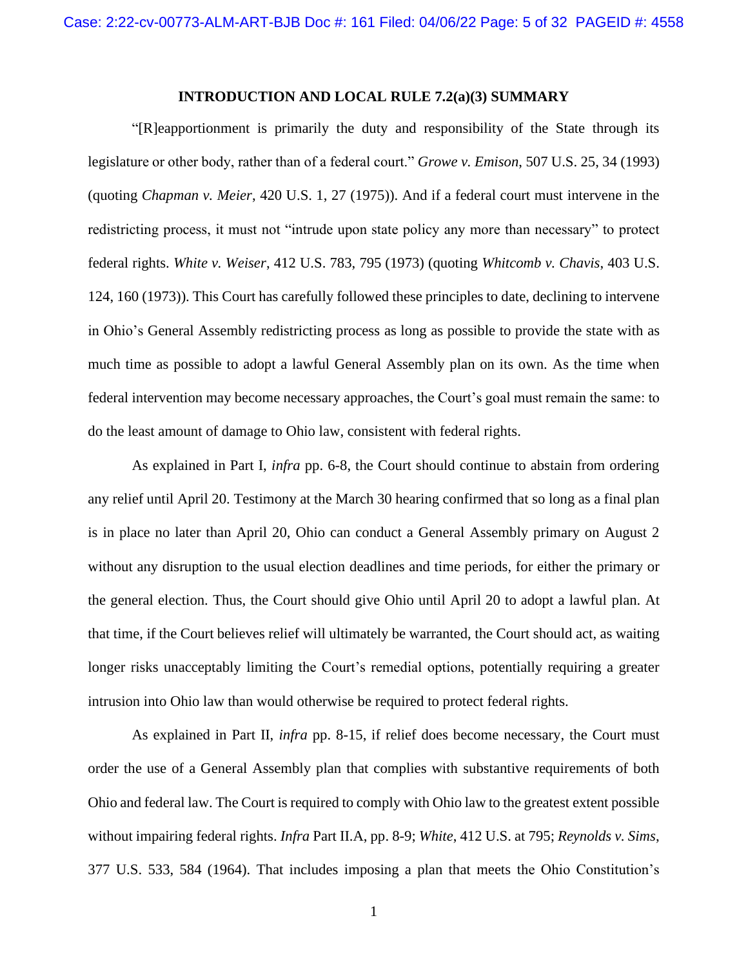### <span id="page-4-1"></span>**INTRODUCTION AND LOCAL RULE 7.2(a)(3) SUMMARY**

<span id="page-4-3"></span><span id="page-4-0"></span>"[R]eapportionment is primarily the duty and responsibility of the State through its legislature or other body, rather than of a federal court." *Growe v. Emison*, 507 U.S. 25, 34 (1993) (quoting *Chapman v. Meier*, 420 U.S. 1, 27 (1975)). And if a federal court must intervene in the redistricting process, it must not "intrude upon state policy any more than necessary" to protect federal rights. *White v. Weiser*, 412 U.S. 783, 795 (1973) (quoting *Whitcomb v. Chavis*, 403 U.S. 124, 160 (1973)). This Court has carefully followed these principles to date, declining to intervene in Ohio's General Assembly redistricting process as long as possible to provide the state with as much time as possible to adopt a lawful General Assembly plan on its own. As the time when federal intervention may become necessary approaches, the Court's goal must remain the same: to do the least amount of damage to Ohio law, consistent with federal rights.

As explained in Part I, *infra* pp. 6-8, the Court should continue to abstain from ordering any relief until April 20. Testimony at the March 30 hearing confirmed that so long as a final plan is in place no later than April 20, Ohio can conduct a General Assembly primary on August 2 without any disruption to the usual election deadlines and time periods, for either the primary or the general election. Thus, the Court should give Ohio until April 20 to adopt a lawful plan. At that time, if the Court believes relief will ultimately be warranted, the Court should act, as waiting longer risks unacceptably limiting the Court's remedial options, potentially requiring a greater intrusion into Ohio law than would otherwise be required to protect federal rights.

<span id="page-4-2"></span>As explained in Part II, *infra* pp. 8-15, if relief does become necessary, the Court must order the use of a General Assembly plan that complies with substantive requirements of both Ohio and federal law. The Court is required to comply with Ohio law to the greatest extent possible without impairing federal rights. *Infra* Part II.A, pp. 8-9; *White*, 412 U.S. at 795; *Reynolds v. Sims*, 377 U.S. 533, 584 (1964). That includes imposing a plan that meets the Ohio Constitution's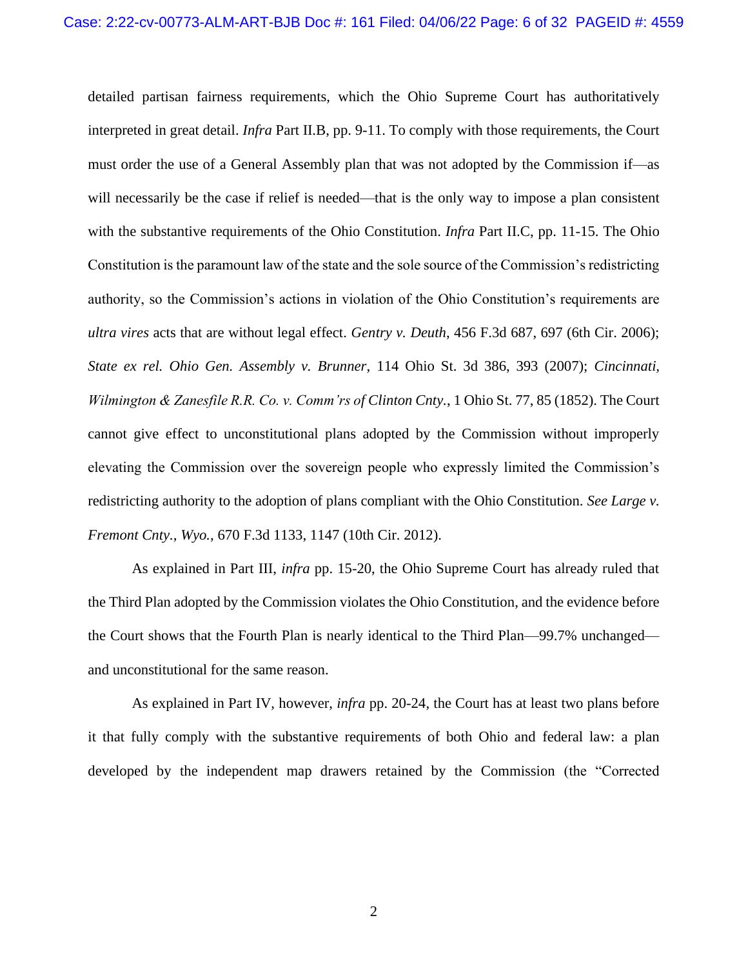<span id="page-5-1"></span>detailed partisan fairness requirements, which the Ohio Supreme Court has authoritatively interpreted in great detail. *Infra* Part II.B, pp. 9-11. To comply with those requirements, the Court must order the use of a General Assembly plan that was not adopted by the Commission if—as will necessarily be the case if relief is needed—that is the only way to impose a plan consistent with the substantive requirements of the Ohio Constitution. *Infra* Part II.C, pp. 11-15. The Ohio Constitution is the paramount law of the state and the sole source of the Commission's redistricting authority, so the Commission's actions in violation of the Ohio Constitution's requirements are *ultra vires* acts that are without legal effect. *Gentry v. Deuth*, 456 F.3d 687, 697 (6th Cir. 2006); *State ex rel. Ohio Gen. Assembly v. Brunner*, 114 Ohio St. 3d 386, 393 (2007); *Cincinnati, Wilmington & Zanesfile R.R. Co. v. Comm'rs of Clinton Cnty.*, 1 Ohio St. 77, 85 (1852). The Court cannot give effect to unconstitutional plans adopted by the Commission without improperly elevating the Commission over the sovereign people who expressly limited the Commission's redistricting authority to the adoption of plans compliant with the Ohio Constitution. *See Large v. Fremont Cnty., Wyo.*, 670 F.3d 1133, 1147 (10th Cir. 2012).

<span id="page-5-3"></span><span id="page-5-2"></span><span id="page-5-0"></span>As explained in Part III, *infra* pp. 15-20, the Ohio Supreme Court has already ruled that the Third Plan adopted by the Commission violates the Ohio Constitution, and the evidence before the Court shows that the Fourth Plan is nearly identical to the Third Plan—99.7% unchanged and unconstitutional for the same reason.

As explained in Part IV, however, *infra* pp. 20-24, the Court has at least two plans before it that fully comply with the substantive requirements of both Ohio and federal law: a plan developed by the independent map drawers retained by the Commission (the "Corrected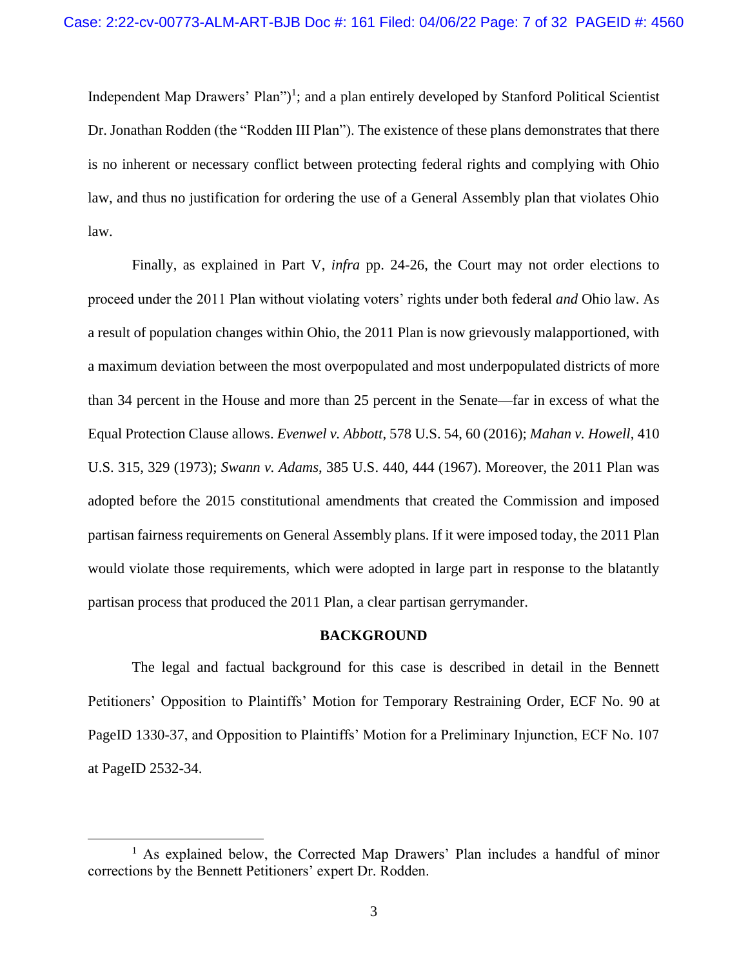Independent Map Drawers' Plan")<sup>1</sup>; and a plan entirely developed by Stanford Political Scientist Dr. Jonathan Rodden (the "Rodden III Plan"). The existence of these plans demonstrates that there is no inherent or necessary conflict between protecting federal rights and complying with Ohio law, and thus no justification for ordering the use of a General Assembly plan that violates Ohio law.

Finally, as explained in Part V, *infra* pp. 24-26, the Court may not order elections to proceed under the 2011 Plan without violating voters' rights under both federal *and* Ohio law. As a result of population changes within Ohio, the 2011 Plan is now grievously malapportioned, with a maximum deviation between the most overpopulated and most underpopulated districts of more than 34 percent in the House and more than 25 percent in the Senate—far in excess of what the Equal Protection Clause allows. *Evenwel v. Abbott*, 578 U.S. 54, 60 (2016); *Mahan v. Howell*, 410 U.S. 315, 329 (1973); *Swann v. Adams*, 385 U.S. 440, 444 (1967). Moreover, the 2011 Plan was adopted before the 2015 constitutional amendments that created the Commission and imposed partisan fairness requirements on General Assembly plans. If it were imposed today, the 2011 Plan would violate those requirements, which were adopted in large part in response to the blatantly partisan process that produced the 2011 Plan, a clear partisan gerrymander.

#### <span id="page-6-3"></span><span id="page-6-2"></span><span id="page-6-1"></span>**BACKGROUND**

<span id="page-6-0"></span>The legal and factual background for this case is described in detail in the Bennett Petitioners' Opposition to Plaintiffs' Motion for Temporary Restraining Order, ECF No. 90 at PageID 1330-37, and Opposition to Plaintiffs' Motion for a Preliminary Injunction, ECF No. 107 at PageID 2532-34.

<sup>&</sup>lt;sup>1</sup> As explained below, the Corrected Map Drawers' Plan includes a handful of minor corrections by the Bennett Petitioners' expert Dr. Rodden.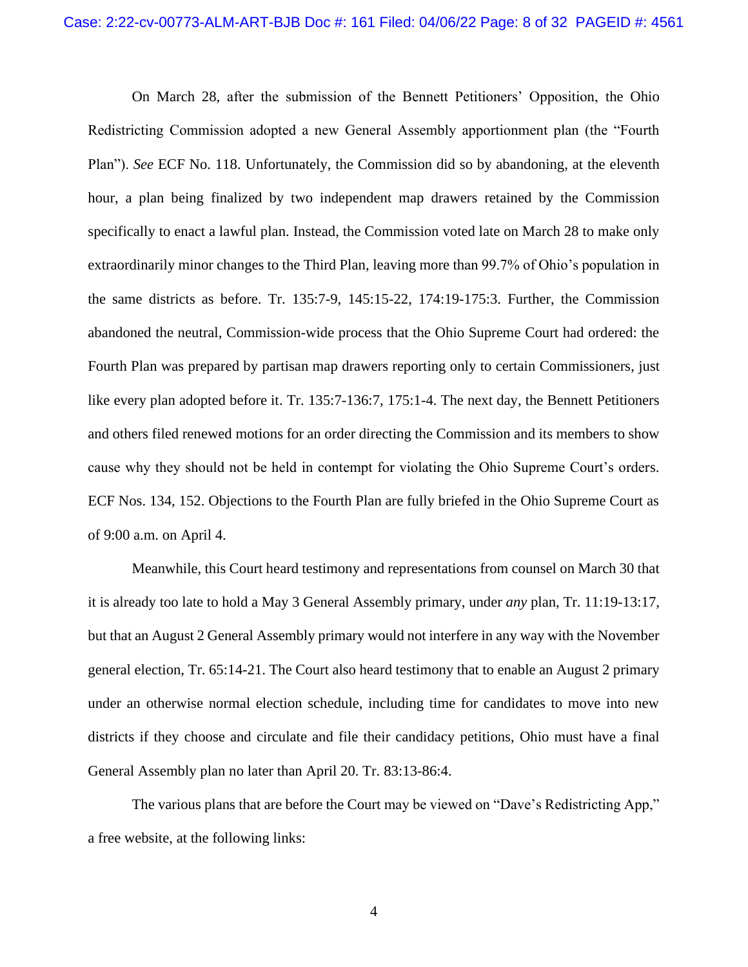On March 28, after the submission of the Bennett Petitioners' Opposition, the Ohio Redistricting Commission adopted a new General Assembly apportionment plan (the "Fourth Plan"). *See* ECF No. 118. Unfortunately, the Commission did so by abandoning, at the eleventh hour, a plan being finalized by two independent map drawers retained by the Commission specifically to enact a lawful plan. Instead, the Commission voted late on March 28 to make only extraordinarily minor changes to the Third Plan, leaving more than 99.7% of Ohio's population in the same districts as before. Tr. 135:7-9, 145:15-22, 174:19-175:3. Further, the Commission abandoned the neutral, Commission-wide process that the Ohio Supreme Court had ordered: the Fourth Plan was prepared by partisan map drawers reporting only to certain Commissioners, just like every plan adopted before it. Tr. 135:7-136:7, 175:1-4. The next day, the Bennett Petitioners and others filed renewed motions for an order directing the Commission and its members to show cause why they should not be held in contempt for violating the Ohio Supreme Court's orders. ECF Nos. 134, 152. Objections to the Fourth Plan are fully briefed in the Ohio Supreme Court as of 9:00 a.m. on April 4.

Meanwhile, this Court heard testimony and representations from counsel on March 30 that it is already too late to hold a May 3 General Assembly primary, under *any* plan, Tr. 11:19-13:17, but that an August 2 General Assembly primary would not interfere in any way with the November general election, Tr. 65:14-21. The Court also heard testimony that to enable an August 2 primary under an otherwise normal election schedule, including time for candidates to move into new districts if they choose and circulate and file their candidacy petitions, Ohio must have a final General Assembly plan no later than April 20. Tr. 83:13-86:4.

The various plans that are before the Court may be viewed on "Dave's Redistricting App," a free website, at the following links: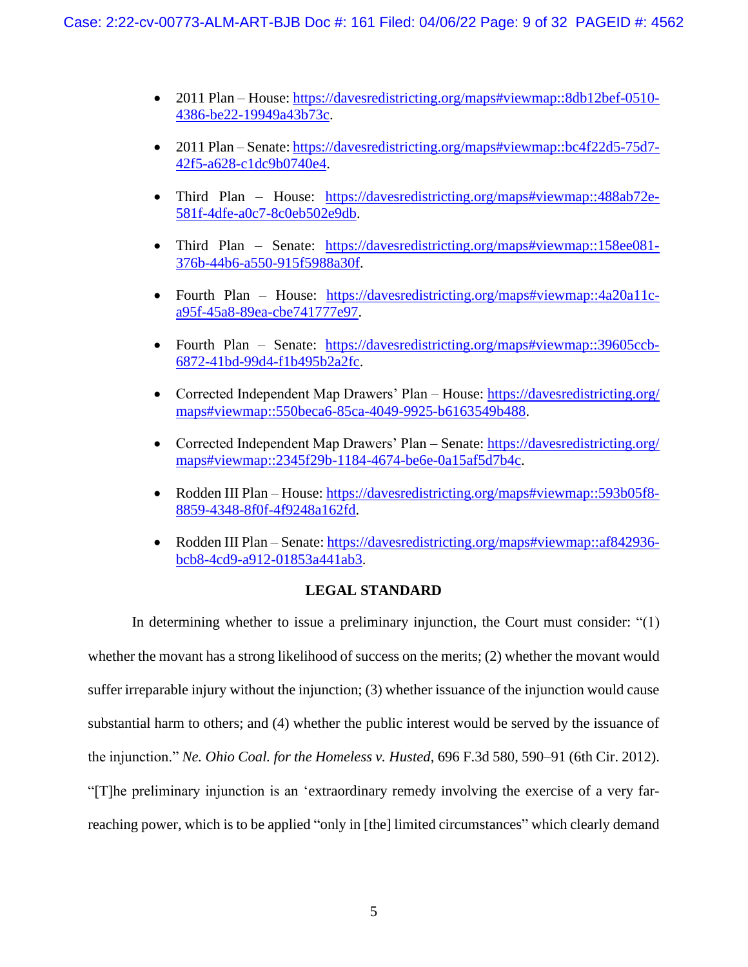- 2011 Plan House[: https://davesredistricting.org/maps#viewmap::8db12bef-0510-](https://davesredistricting.org/maps#viewmap::8db12bef-0510-4386-be22-19949a43b73c) [4386-be22-19949a43b73c.](https://davesredistricting.org/maps#viewmap::8db12bef-0510-4386-be22-19949a43b73c)
- 2011 Plan Senate: [https://davesredistricting.org/maps#viewmap::bc4f22d5-75d7-](https://davesredistricting.org/maps#viewmap::bc4f22d5-75d7-42f5-a628-c1dc9b0740e4) [42f5-a628-c1dc9b0740e4.](https://davesredistricting.org/maps#viewmap::bc4f22d5-75d7-42f5-a628-c1dc9b0740e4)
- Third Plan House: [https://davesredistricting.org/maps#viewmap::488ab72e-](https://davesredistricting.org/maps#viewmap::488ab72e-581f-4dfe-a0c7-8c0eb502e9db)[581f-4dfe-a0c7-8c0eb502e9db.](https://davesredistricting.org/maps#viewmap::488ab72e-581f-4dfe-a0c7-8c0eb502e9db)
- Third Plan Senate: [https://davesredistricting.org/maps#viewmap::158ee081-](https://davesredistricting.org/maps#viewmap::158ee081-376b-44b6-a550-915f5988a30f) [376b-44b6-a550-915f5988a30f.](https://davesredistricting.org/maps#viewmap::158ee081-376b-44b6-a550-915f5988a30f)
- Fourth Plan House: [https://davesredistricting.org/maps#viewmap::4a20a11c](https://davesredistricting.org/maps#viewmap::4a20a11c-a95f-45a8-89ea-cbe741777e97)[a95f-45a8-89ea-cbe741777e97.](https://davesredistricting.org/maps#viewmap::4a20a11c-a95f-45a8-89ea-cbe741777e97)
- Fourth Plan Senate: [https://davesredistricting.org/maps#viewmap::39605ccb-](https://davesredistricting.org/maps#viewmap::39605ccb-6872-41bd-99d4-f1b495b2a2fc)[6872-41bd-99d4-f1b495b2a2fc.](https://davesredistricting.org/maps#viewmap::39605ccb-6872-41bd-99d4-f1b495b2a2fc)
- Corrected Independent Map Drawers' Plan House: [https://davesredistricting.org/](https://davesredistricting.org/maps#viewmap::550beca6-85ca-4049-9925-b6163549b488) [maps#viewmap::550beca6-85ca-4049-9925-b6163549b488.](https://davesredistricting.org/maps#viewmap::550beca6-85ca-4049-9925-b6163549b488)
- Corrected Independent Map Drawers' Plan Senate: [https://davesredistricting.org/](https://davesredistricting.org/maps#viewmap::2345f29b-1184-4674-be6e-0a15af5d7b4c) [maps#viewmap::2345f29b-1184-4674-be6e-0a15af5d7b4c.](https://davesredistricting.org/maps#viewmap::2345f29b-1184-4674-be6e-0a15af5d7b4c)
- Rodden III Plan House: [https://davesredistricting.org/maps#viewmap::593b05f8-](https://davesredistricting.org/maps#viewmap::593b05f8-8859-4348-8f0f-4f9248a162fd) [8859-4348-8f0f-4f9248a162fd.](https://davesredistricting.org/maps#viewmap::593b05f8-8859-4348-8f0f-4f9248a162fd)
- Rodden III Plan Senate: [https://davesredistricting.org/maps#viewmap::af842936](https://davesredistricting.org/maps#viewmap::af842936-bcb8-4cd9-a912-01853a441ab3) [bcb8-4cd9-a912-01853a441ab3.](https://davesredistricting.org/maps#viewmap::af842936-bcb8-4cd9-a912-01853a441ab3)

## **LEGAL STANDARD**

<span id="page-8-1"></span><span id="page-8-0"></span>In determining whether to issue a preliminary injunction, the Court must consider: "(1) whether the movant has a strong likelihood of success on the merits; (2) whether the movant would suffer irreparable injury without the injunction; (3) whether issuance of the injunction would cause substantial harm to others; and (4) whether the public interest would be served by the issuance of the injunction." *Ne. Ohio Coal. for the Homeless v. Husted*, 696 F.3d 580, 590–91 (6th Cir. 2012). "[T]he preliminary injunction is an 'extraordinary remedy involving the exercise of a very farreaching power, which is to be applied "only in [the] limited circumstances" which clearly demand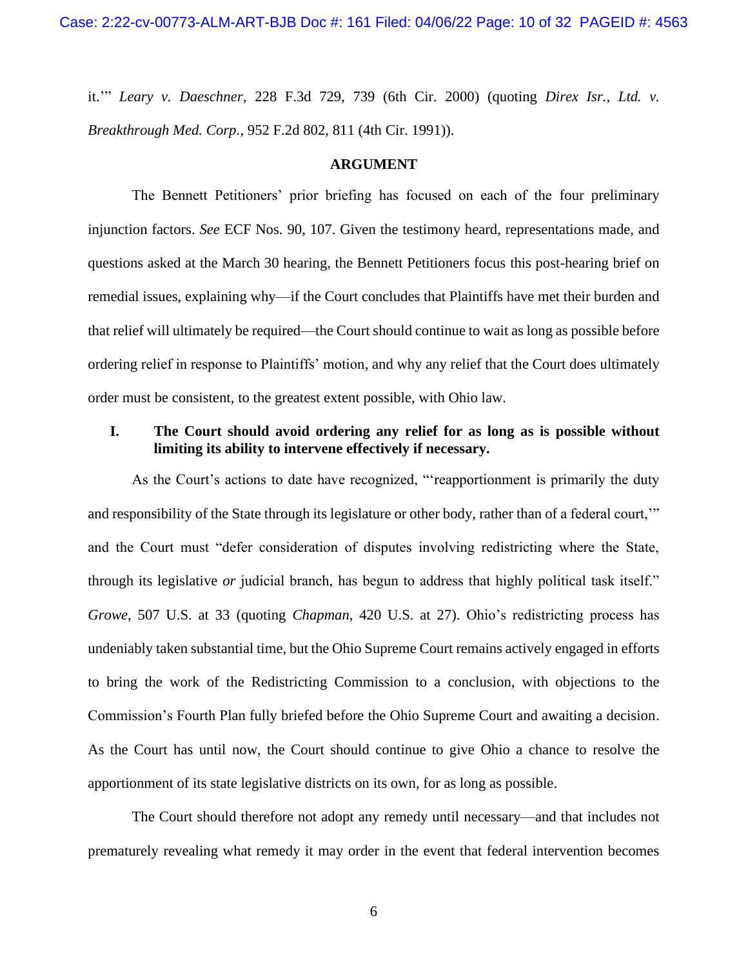<span id="page-9-3"></span>it.'" *Leary v. Daeschner*, 228 F.3d 729, 739 (6th Cir. 2000) (quoting *Direx Isr., Ltd. v. Breakthrough Med. Corp.*, 952 F.2d 802, 811 (4th Cir. 1991)).

#### **ARGUMENT**

<span id="page-9-0"></span>The Bennett Petitioners' prior briefing has focused on each of the four preliminary injunction factors. *See* ECF Nos. 90, 107. Given the testimony heard, representations made, and questions asked at the March 30 hearing, the Bennett Petitioners focus this post-hearing brief on remedial issues, explaining why—if the Court concludes that Plaintiffs have met their burden and that relief will ultimately be required—the Court should continue to wait as long as possible before ordering relief in response to Plaintiffs' motion, and why any relief that the Court does ultimately order must be consistent, to the greatest extent possible, with Ohio law.

## <span id="page-9-1"></span>**I. The Court should avoid ordering any relief for as long as is possible without limiting its ability to intervene effectively if necessary.**

<span id="page-9-2"></span>As the Court's actions to date have recognized, "'reapportionment is primarily the duty and responsibility of the State through its legislature or other body, rather than of a federal court,'" and the Court must "defer consideration of disputes involving redistricting where the State, through its legislative *or* judicial branch, has begun to address that highly political task itself." *Growe*, 507 U.S. at 33 (quoting *Chapman*, 420 U.S. at 27). Ohio's redistricting process has undeniably taken substantial time, but the Ohio Supreme Court remains actively engaged in efforts to bring the work of the Redistricting Commission to a conclusion, with objections to the Commission's Fourth Plan fully briefed before the Ohio Supreme Court and awaiting a decision. As the Court has until now, the Court should continue to give Ohio a chance to resolve the apportionment of its state legislative districts on its own, for as long as possible.

The Court should therefore not adopt any remedy until necessary—and that includes not prematurely revealing what remedy it may order in the event that federal intervention becomes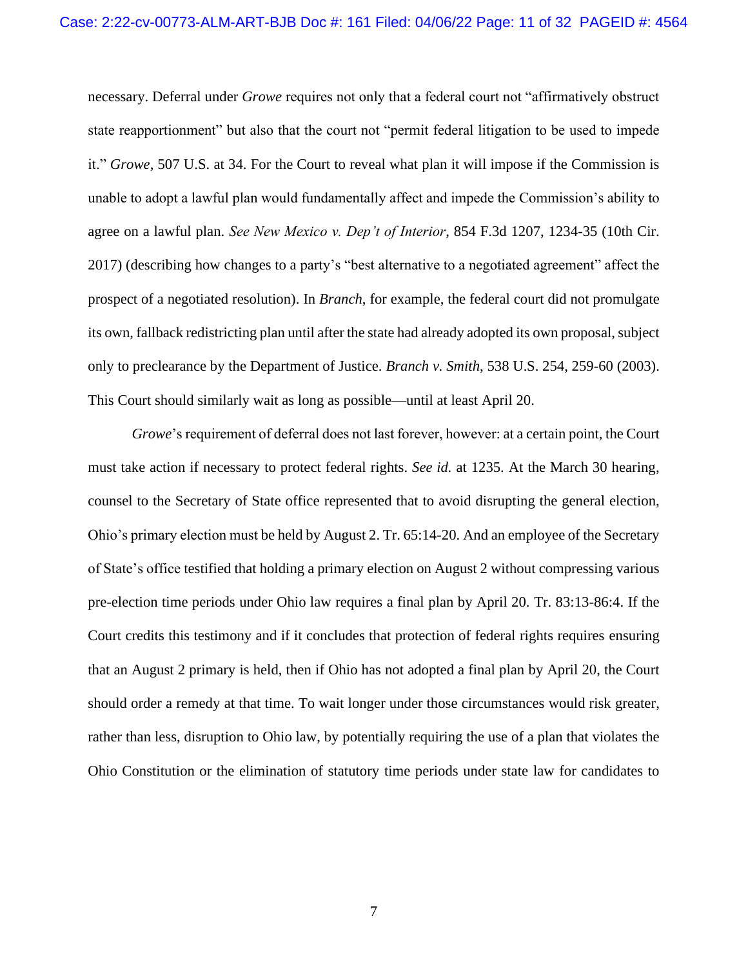<span id="page-10-2"></span><span id="page-10-1"></span>necessary. Deferral under *Growe* requires not only that a federal court not "affirmatively obstruct state reapportionment" but also that the court not "permit federal litigation to be used to impede it." *Growe*, 507 U.S. at 34. For the Court to reveal what plan it will impose if the Commission is unable to adopt a lawful plan would fundamentally affect and impede the Commission's ability to agree on a lawful plan. *See New Mexico v. Dep't of Interior*, 854 F.3d 1207, 1234-35 (10th Cir. 2017) (describing how changes to a party's "best alternative to a negotiated agreement" affect the prospect of a negotiated resolution). In *Branch*, for example, the federal court did not promulgate its own, fallback redistricting plan until after the state had already adopted its own proposal, subject only to preclearance by the Department of Justice. *Branch v. Smith*, 538 U.S. 254, 259-60 (2003). This Court should similarly wait as long as possible—until at least April 20.

<span id="page-10-0"></span>*Growe*'s requirement of deferral does not last forever, however: at a certain point, the Court must take action if necessary to protect federal rights. *See id.* at 1235. At the March 30 hearing, counsel to the Secretary of State office represented that to avoid disrupting the general election, Ohio's primary election must be held by August 2. Tr. 65:14-20. And an employee of the Secretary of State's office testified that holding a primary election on August 2 without compressing various pre-election time periods under Ohio law requires a final plan by April 20. Tr. 83:13-86:4. If the Court credits this testimony and if it concludes that protection of federal rights requires ensuring that an August 2 primary is held, then if Ohio has not adopted a final plan by April 20, the Court should order a remedy at that time. To wait longer under those circumstances would risk greater, rather than less, disruption to Ohio law, by potentially requiring the use of a plan that violates the Ohio Constitution or the elimination of statutory time periods under state law for candidates to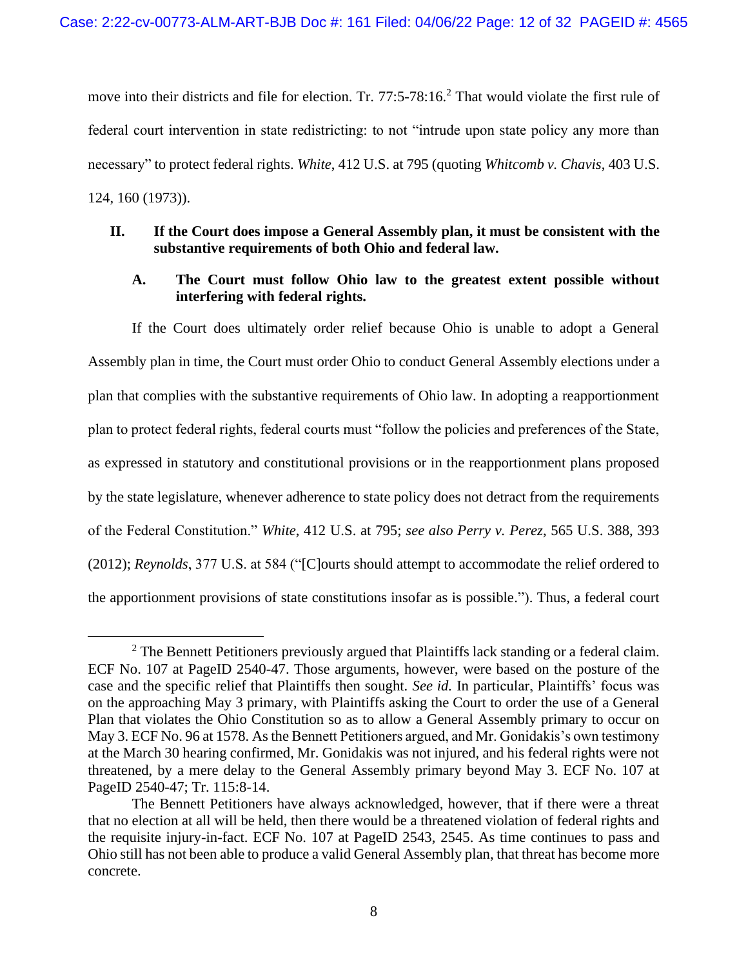move into their districts and file for election. Tr. 77:5-78:16.<sup>2</sup> That would violate the first rule of federal court intervention in state redistricting: to not "intrude upon state policy any more than necessary" to protect federal rights. *White*, 412 U.S. at 795 (quoting *Whitcomb v. Chavis*, 403 U.S. 124, 160 (1973)).

## <span id="page-11-4"></span><span id="page-11-0"></span>**II. If the Court does impose a General Assembly plan, it must be consistent with the substantive requirements of both Ohio and federal law.**

### <span id="page-11-1"></span>**A. The Court must follow Ohio law to the greatest extent possible without interfering with federal rights.**

If the Court does ultimately order relief because Ohio is unable to adopt a General Assembly plan in time, the Court must order Ohio to conduct General Assembly elections under a plan that complies with the substantive requirements of Ohio law. In adopting a reapportionment plan to protect federal rights, federal courts must "follow the policies and preferences of the State, as expressed in statutory and constitutional provisions or in the reapportionment plans proposed by the state legislature, whenever adherence to state policy does not detract from the requirements of the Federal Constitution." *White*, 412 U.S. at 795; *see also Perry v. Perez*, 565 U.S. 388, 393 (2012); *Reynolds*, 377 U.S. at 584 ("[C]ourts should attempt to accommodate the relief ordered to the apportionment provisions of state constitutions insofar as is possible."). Thus, a federal court

<span id="page-11-3"></span><span id="page-11-2"></span> $<sup>2</sup>$  The Bennett Petitioners previously argued that Plaintiffs lack standing or a federal claim.</sup> ECF No. 107 at PageID 2540-47. Those arguments, however, were based on the posture of the case and the specific relief that Plaintiffs then sought. *See id.* In particular, Plaintiffs' focus was on the approaching May 3 primary, with Plaintiffs asking the Court to order the use of a General Plan that violates the Ohio Constitution so as to allow a General Assembly primary to occur on May 3. ECF No. 96 at 1578. As the Bennett Petitioners argued, and Mr. Gonidakis's own testimony at the March 30 hearing confirmed, Mr. Gonidakis was not injured, and his federal rights were not threatened, by a mere delay to the General Assembly primary beyond May 3. ECF No. 107 at PageID 2540-47; Tr. 115:8-14.

The Bennett Petitioners have always acknowledged, however, that if there were a threat that no election at all will be held, then there would be a threatened violation of federal rights and the requisite injury-in-fact. ECF No. 107 at PageID 2543, 2545. As time continues to pass and Ohio still has not been able to produce a valid General Assembly plan, that threat has become more concrete.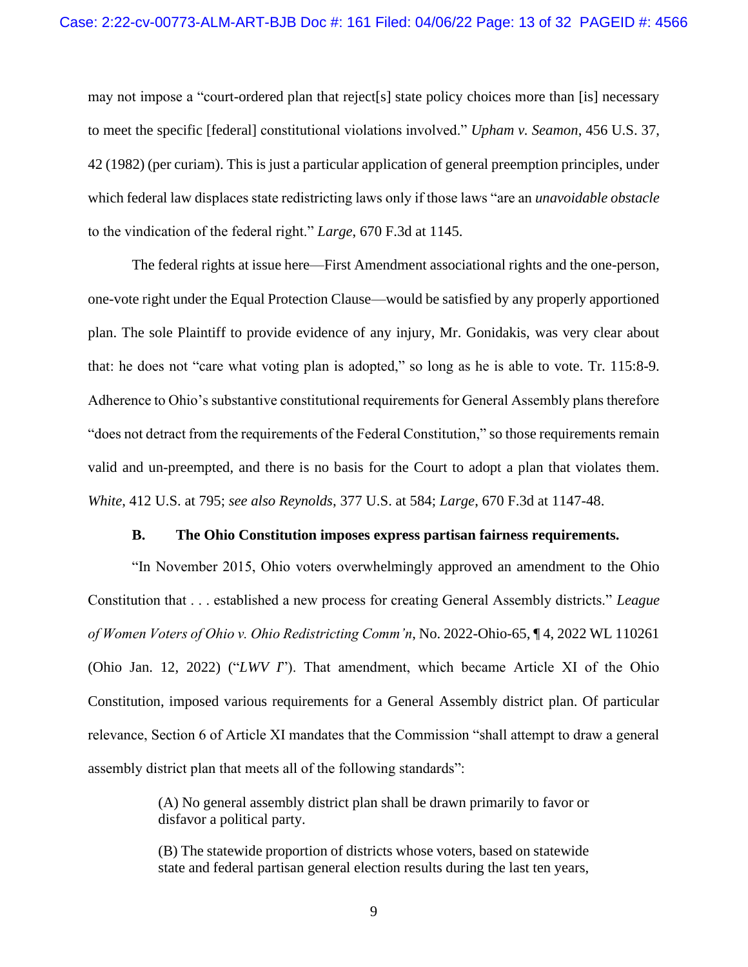<span id="page-12-3"></span>may not impose a "court-ordered plan that reject[s] state policy choices more than [is] necessary to meet the specific [federal] constitutional violations involved." *Upham v. Seamon*, 456 U.S. 37, 42 (1982) (per curiam). This is just a particular application of general preemption principles, under which federal law displaces state redistricting laws only if those laws "are an *unavoidable obstacle* to the vindication of the federal right." *Large*, 670 F.3d at 1145.

The federal rights at issue here—First Amendment associational rights and the one-person, one-vote right under the Equal Protection Clause—would be satisfied by any properly apportioned plan. The sole Plaintiff to provide evidence of any injury, Mr. Gonidakis, was very clear about that: he does not "care what voting plan is adopted," so long as he is able to vote. Tr. 115:8-9. Adherence to Ohio's substantive constitutional requirements for General Assembly plans therefore "does not detract from the requirements of the Federal Constitution," so those requirements remain valid and un-preempted, and there is no basis for the Court to adopt a plan that violates them. *White*, 412 U.S. at 795; *see also Reynolds*, 377 U.S. at 584; *Large*, 670 F.3d at 1147-48.

#### <span id="page-12-4"></span><span id="page-12-2"></span><span id="page-12-1"></span>**B. The Ohio Constitution imposes express partisan fairness requirements.**

<span id="page-12-0"></span>"In November 2015, Ohio voters overwhelmingly approved an amendment to the Ohio Constitution that . . . established a new process for creating General Assembly districts." *League of Women Voters of Ohio v. Ohio Redistricting Comm'n*, No. 2022-Ohio-65, ¶ 4, 2022 WL 110261 (Ohio Jan. 12, 2022) ("*LWV I*"). That amendment, which became Article XI of the Ohio Constitution, imposed various requirements for a General Assembly district plan. Of particular relevance, Section 6 of Article XI mandates that the Commission "shall attempt to draw a general assembly district plan that meets all of the following standards":

> (A) No general assembly district plan shall be drawn primarily to favor or disfavor a political party.

> (B) The statewide proportion of districts whose voters, based on statewide state and federal partisan general election results during the last ten years,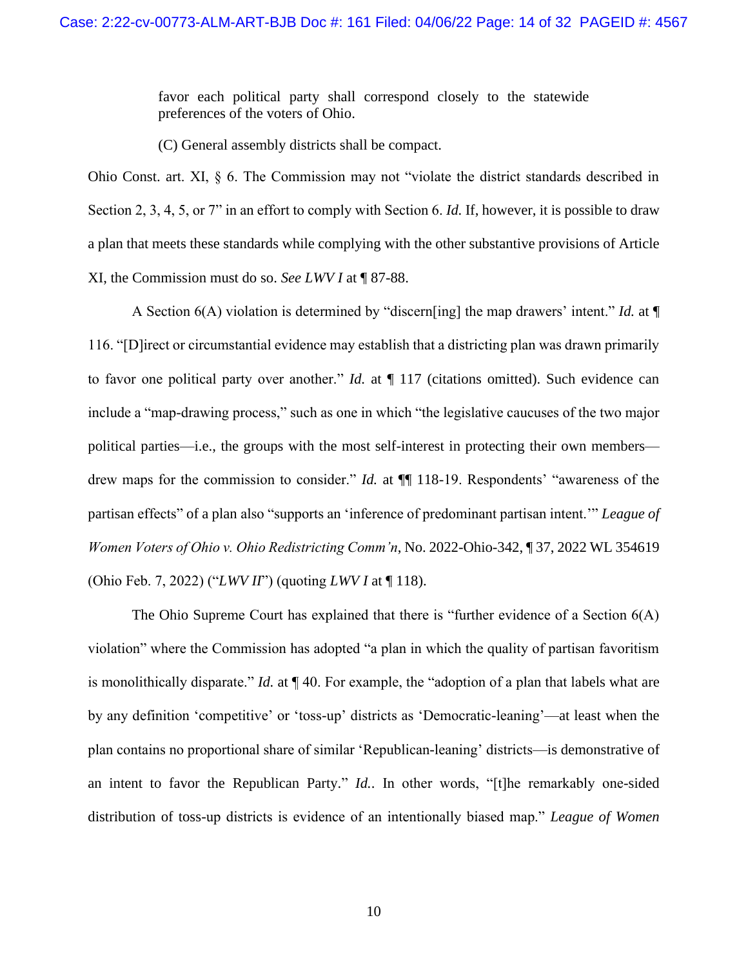favor each political party shall correspond closely to the statewide preferences of the voters of Ohio.

(C) General assembly districts shall be compact.

Ohio Const. art. XI, § 6. The Commission may not "violate the district standards described in Section 2, 3, 4, 5, or 7" in an effort to comply with Section 6. *Id.* If, however, it is possible to draw a plan that meets these standards while complying with the other substantive provisions of Article XI, the Commission must do so. *See LWV I* at ¶ 87-88.

A Section 6(A) violation is determined by "discern[ing] the map drawers' intent." *Id.* at ¶ 116. "[D]irect or circumstantial evidence may establish that a districting plan was drawn primarily to favor one political party over another." *Id.* at ¶ 117 (citations omitted). Such evidence can include a "map-drawing process," such as one in which "the legislative caucuses of the two major political parties—i.e., the groups with the most self-interest in protecting their own members drew maps for the commission to consider." *Id.* at  $\P$  118-19. Respondents' "awareness of the partisan effects" of a plan also "supports an 'inference of predominant partisan intent.'" *League of Women Voters of Ohio v. Ohio Redistricting Comm'n*, No. 2022-Ohio-342, ¶ 37, 2022 WL 354619 (Ohio Feb. 7, 2022) ("*LWV II*") (quoting *LWV I* at ¶ 118).

<span id="page-13-1"></span><span id="page-13-0"></span>The Ohio Supreme Court has explained that there is "further evidence of a Section 6(A) violation" where the Commission has adopted "a plan in which the quality of partisan favoritism is monolithically disparate." *Id.* at ¶ 40. For example, the "adoption of a plan that labels what are by any definition 'competitive' or 'toss-up' districts as 'Democratic-leaning'—at least when the plan contains no proportional share of similar 'Republican-leaning' districts—is demonstrative of an intent to favor the Republican Party." *Id.*. In other words, "[t]he remarkably one-sided distribution of toss-up districts is evidence of an intentionally biased map." *League of Women*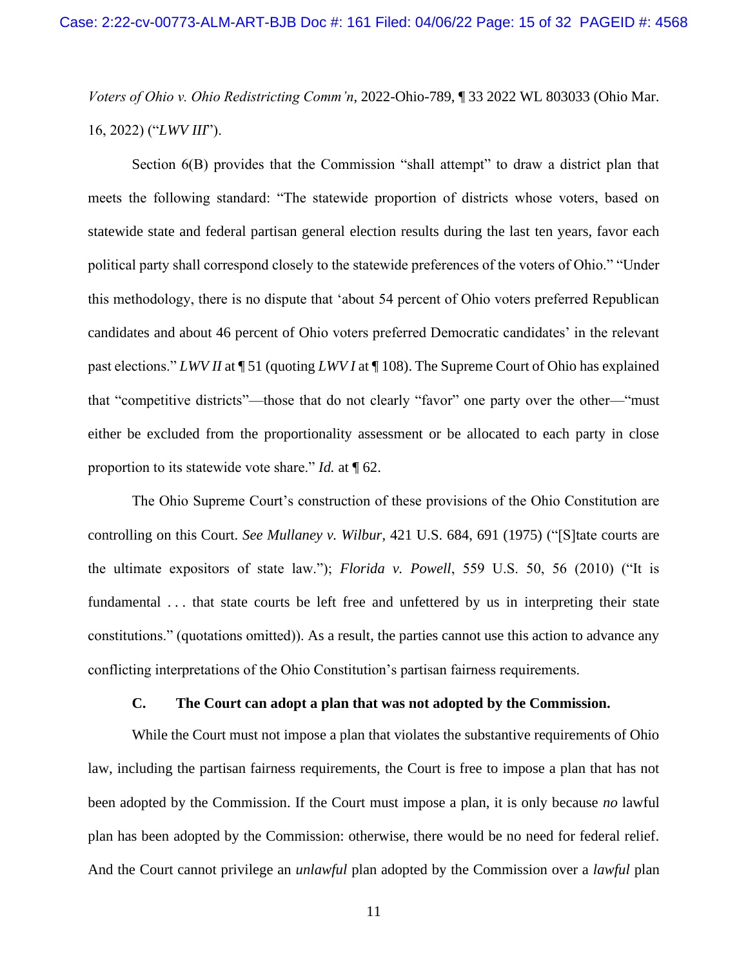*Voters of Ohio v. Ohio Redistricting Comm'n*, 2022-Ohio-789, ¶ 33 2022 WL 803033 (Ohio Mar. 16, 2022) ("*LWV III*").

Section 6(B) provides that the Commission "shall attempt" to draw a district plan that meets the following standard: "The statewide proportion of districts whose voters, based on statewide state and federal partisan general election results during the last ten years, favor each political party shall correspond closely to the statewide preferences of the voters of Ohio." "Under this methodology, there is no dispute that 'about 54 percent of Ohio voters preferred Republican candidates and about 46 percent of Ohio voters preferred Democratic candidates' in the relevant past elections." *LWV II* at ¶ 51 (quoting *LWV I* at ¶ 108). The Supreme Court of Ohio has explained that "competitive districts"—those that do not clearly "favor" one party over the other—"must either be excluded from the proportionality assessment or be allocated to each party in close proportion to its statewide vote share." *Id.* at ¶ 62.

<span id="page-14-2"></span>The Ohio Supreme Court's construction of these provisions of the Ohio Constitution are controlling on this Court. *See Mullaney v. Wilbur*, 421 U.S. 684, 691 (1975) ("[S]tate courts are the ultimate expositors of state law."); *Florida v. Powell*, 559 U.S. 50, 56 (2010) ("It is fundamental . . . that state courts be left free and unfettered by us in interpreting their state constitutions." (quotations omitted)). As a result, the parties cannot use this action to advance any conflicting interpretations of the Ohio Constitution's partisan fairness requirements.

## <span id="page-14-1"></span>**C. The Court can adopt a plan that was not adopted by the Commission.**

<span id="page-14-0"></span>While the Court must not impose a plan that violates the substantive requirements of Ohio law, including the partisan fairness requirements, the Court is free to impose a plan that has not been adopted by the Commission. If the Court must impose a plan, it is only because *no* lawful plan has been adopted by the Commission: otherwise, there would be no need for federal relief. And the Court cannot privilege an *unlawful* plan adopted by the Commission over a *lawful* plan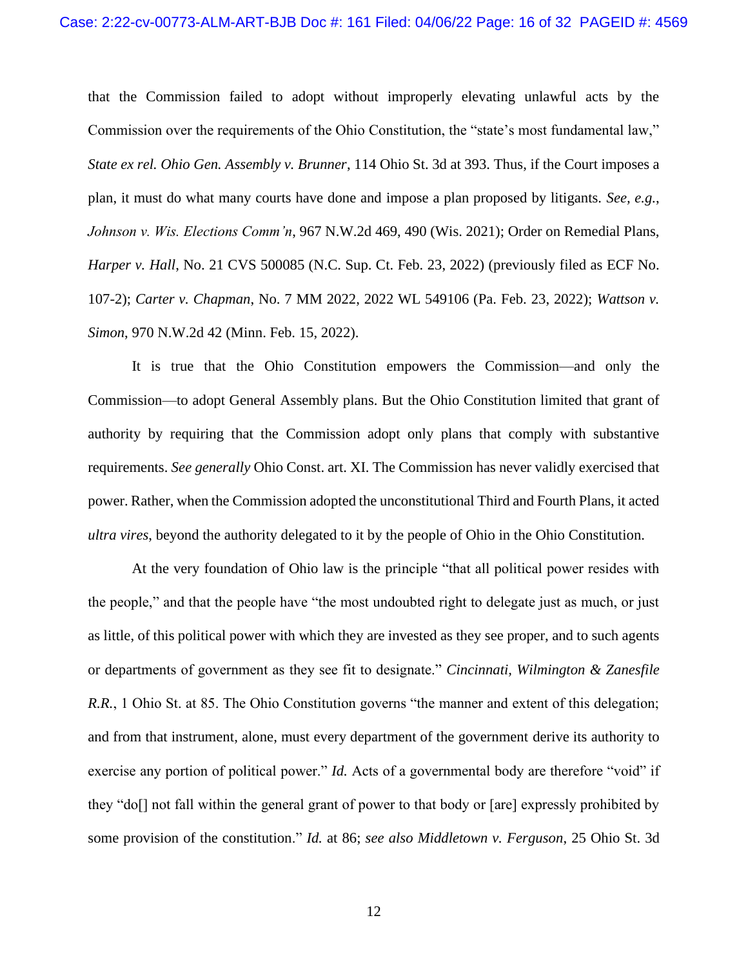<span id="page-15-4"></span><span id="page-15-3"></span>that the Commission failed to adopt without improperly elevating unlawful acts by the Commission over the requirements of the Ohio Constitution, the "state's most fundamental law," *State ex rel. Ohio Gen. Assembly v. Brunner*, 114 Ohio St. 3d at 393. Thus, if the Court imposes a plan, it must do what many courts have done and impose a plan proposed by litigants. *See, e.g.*, *Johnson v. Wis. Elections Comm'n*, 967 N.W.2d 469, 490 (Wis. 2021); Order on Remedial Plans, *Harper v. Hall*, No. 21 CVS 500085 (N.C. Sup. Ct. Feb. 23, 2022) (previously filed as ECF No. 107-2); *Carter v. Chapman*, No. 7 MM 2022, 2022 WL 549106 (Pa. Feb. 23, 2022); *Wattson v. Simon*, 970 N.W.2d 42 (Minn. Feb. 15, 2022).

<span id="page-15-5"></span><span id="page-15-2"></span><span id="page-15-0"></span>It is true that the Ohio Constitution empowers the Commission—and only the Commission—to adopt General Assembly plans. But the Ohio Constitution limited that grant of authority by requiring that the Commission adopt only plans that comply with substantive requirements. *See generally* Ohio Const. art. XI. The Commission has never validly exercised that power. Rather, when the Commission adopted the unconstitutional Third and Fourth Plans, it acted *ultra vires*, beyond the authority delegated to it by the people of Ohio in the Ohio Constitution.

<span id="page-15-1"></span>At the very foundation of Ohio law is the principle "that all political power resides with the people," and that the people have "the most undoubted right to delegate just as much, or just as little, of this political power with which they are invested as they see proper, and to such agents or departments of government as they see fit to designate." *Cincinnati, Wilmington & Zanesfile R.R.*, 1 Ohio St. at 85. The Ohio Constitution governs "the manner and extent of this delegation; and from that instrument, alone, must every department of the government derive its authority to exercise any portion of political power." *Id.* Acts of a governmental body are therefore "void" if they "do[] not fall within the general grant of power to that body or [are] expressly prohibited by some provision of the constitution." *Id.* at 86; *see also Middletown v. Ferguson*, 25 Ohio St. 3d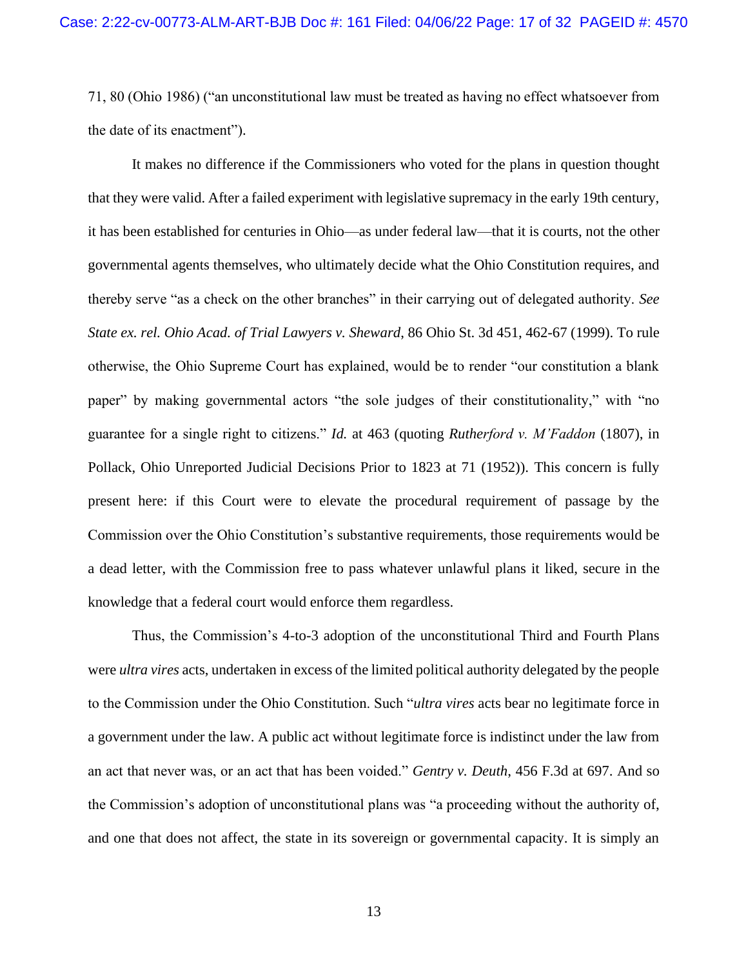71, 80 (Ohio 1986) ("an unconstitutional law must be treated as having no effect whatsoever from the date of its enactment").

<span id="page-16-1"></span>It makes no difference if the Commissioners who voted for the plans in question thought that they were valid. After a failed experiment with legislative supremacy in the early 19th century, it has been established for centuries in Ohio—as under federal law—that it is courts, not the other governmental agents themselves, who ultimately decide what the Ohio Constitution requires, and thereby serve "as a check on the other branches" in their carrying out of delegated authority. *See State ex. rel. Ohio Acad. of Trial Lawyers v. Sheward*, 86 Ohio St. 3d 451, 462-67 (1999). To rule otherwise, the Ohio Supreme Court has explained, would be to render "our constitution a blank paper" by making governmental actors "the sole judges of their constitutionality," with "no guarantee for a single right to citizens." *Id.* at 463 (quoting *Rutherford v. M'Faddon* (1807), in Pollack, Ohio Unreported Judicial Decisions Prior to 1823 at 71 (1952)). This concern is fully present here: if this Court were to elevate the procedural requirement of passage by the Commission over the Ohio Constitution's substantive requirements, those requirements would be a dead letter, with the Commission free to pass whatever unlawful plans it liked, secure in the knowledge that a federal court would enforce them regardless.

<span id="page-16-0"></span>Thus, the Commission's 4-to-3 adoption of the unconstitutional Third and Fourth Plans were *ultra vires* acts, undertaken in excess of the limited political authority delegated by the people to the Commission under the Ohio Constitution. Such "*ultra vires* acts bear no legitimate force in a government under the law. A public act without legitimate force is indistinct under the law from an act that never was, or an act that has been voided." *Gentry v. Deuth*, 456 F.3d at 697. And so the Commission's adoption of unconstitutional plans was "a proceeding without the authority of, and one that does not affect, the state in its sovereign or governmental capacity. It is simply an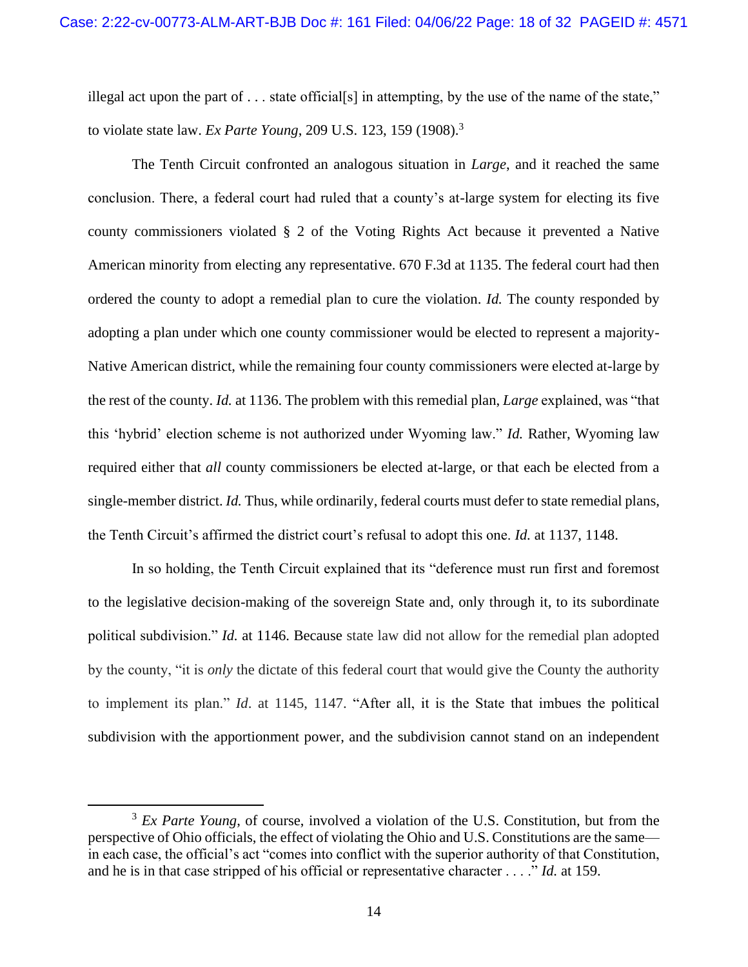<span id="page-17-0"></span>illegal act upon the part of  $\dots$  state official[s] in attempting, by the use of the name of the state," to violate state law. *Ex Parte Young*, 209 U.S. 123, 159 (1908). 3

The Tenth Circuit confronted an analogous situation in *Large*, and it reached the same conclusion. There, a federal court had ruled that a county's at-large system for electing its five county commissioners violated § 2 of the Voting Rights Act because it prevented a Native American minority from electing any representative. 670 F.3d at 1135. The federal court had then ordered the county to adopt a remedial plan to cure the violation. *Id.* The county responded by adopting a plan under which one county commissioner would be elected to represent a majority-Native American district, while the remaining four county commissioners were elected at-large by the rest of the county. *Id.* at 1136. The problem with this remedial plan, *Large* explained, was "that this 'hybrid' election scheme is not authorized under Wyoming law." *Id.* Rather, Wyoming law required either that *all* county commissioners be elected at-large, or that each be elected from a single-member district. *Id.* Thus, while ordinarily, federal courts must defer to state remedial plans, the Tenth Circuit's affirmed the district court's refusal to adopt this one. *Id.* at 1137, 1148.

In so holding, the Tenth Circuit explained that its "deference must run first and foremost to the legislative decision-making of the sovereign State and, only through it, to its subordinate political subdivision." *Id.* at 1146. Because state law did not allow for the remedial plan adopted by the county, "it is *only* the dictate of this federal court that would give the County the authority to implement its plan." *Id*. at 1145, 1147. "After all, it is the State that imbues the political subdivision with the apportionment power, and the subdivision cannot stand on an independent

<sup>&</sup>lt;sup>3</sup> *Ex Parte Young*, of course, involved a violation of the U.S. Constitution, but from the perspective of Ohio officials, the effect of violating the Ohio and U.S. Constitutions are the same in each case, the official's act "comes into conflict with the superior authority of that Constitution, and he is in that case stripped of his official or representative character . . . ." *Id.* at 159.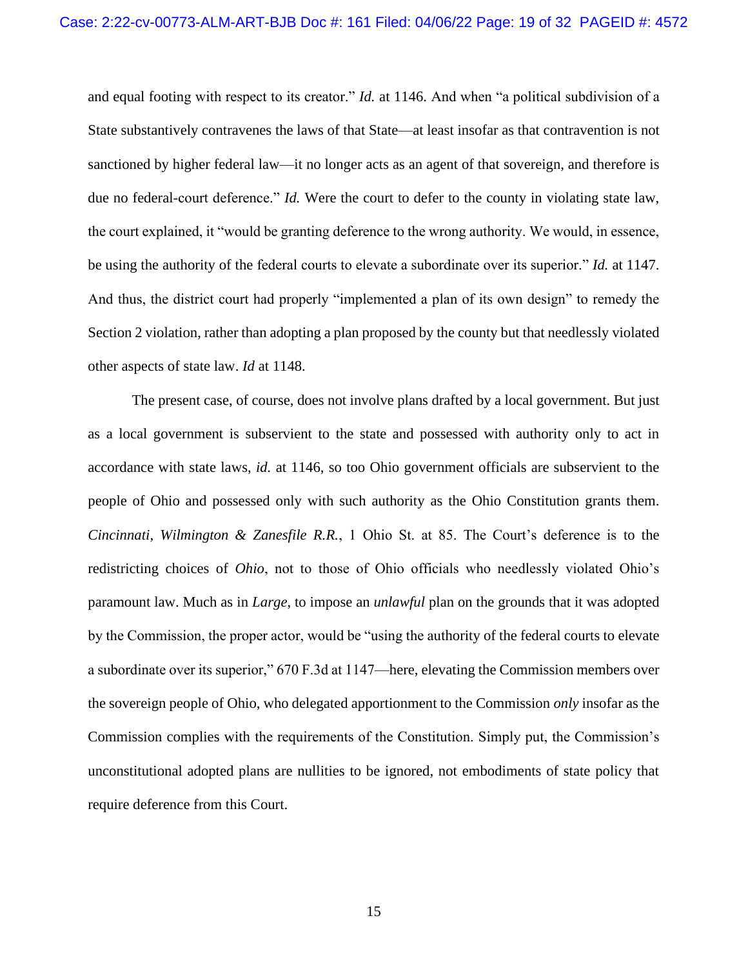and equal footing with respect to its creator." *Id.* at 1146. And when "a political subdivision of a State substantively contravenes the laws of that State—at least insofar as that contravention is not sanctioned by higher federal law—it no longer acts as an agent of that sovereign, and therefore is due no federal-court deference." *Id.* Were the court to defer to the county in violating state law, the court explained, it "would be granting deference to the wrong authority. We would, in essence, be using the authority of the federal courts to elevate a subordinate over its superior." *Id.* at 1147. And thus, the district court had properly "implemented a plan of its own design" to remedy the Section 2 violation, rather than adopting a plan proposed by the county but that needlessly violated other aspects of state law. *Id* at 1148.

<span id="page-18-0"></span>The present case, of course, does not involve plans drafted by a local government. But just as a local government is subservient to the state and possessed with authority only to act in accordance with state laws, *id.* at 1146, so too Ohio government officials are subservient to the people of Ohio and possessed only with such authority as the Ohio Constitution grants them. *Cincinnati, Wilmington & Zanesfile R.R.*, 1 Ohio St. at 85. The Court's deference is to the redistricting choices of *Ohio*, not to those of Ohio officials who needlessly violated Ohio's paramount law. Much as in *Large*, to impose an *unlawful* plan on the grounds that it was adopted by the Commission, the proper actor, would be "using the authority of the federal courts to elevate a subordinate over its superior," 670 F.3d at 1147—here, elevating the Commission members over the sovereign people of Ohio, who delegated apportionment to the Commission *only* insofar as the Commission complies with the requirements of the Constitution. Simply put, the Commission's unconstitutional adopted plans are nullities to be ignored, not embodiments of state policy that require deference from this Court.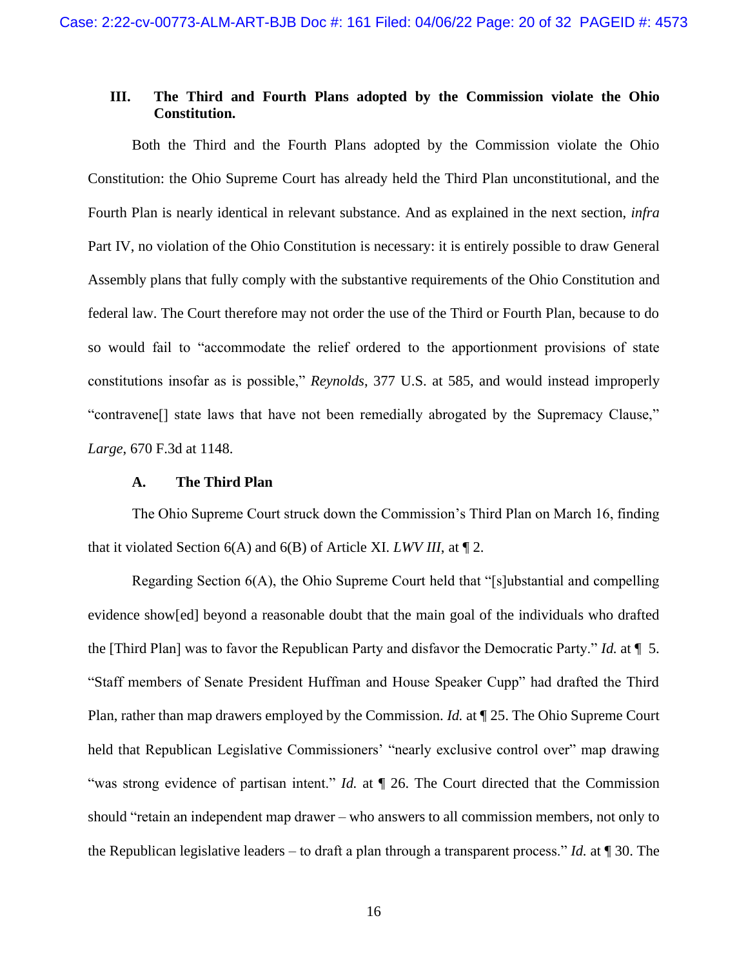## <span id="page-19-0"></span>**III. The Third and Fourth Plans adopted by the Commission violate the Ohio Constitution.**

Both the Third and the Fourth Plans adopted by the Commission violate the Ohio Constitution: the Ohio Supreme Court has already held the Third Plan unconstitutional, and the Fourth Plan is nearly identical in relevant substance. And as explained in the next section, *infra*  Part IV, no violation of the Ohio Constitution is necessary: it is entirely possible to draw General Assembly plans that fully comply with the substantive requirements of the Ohio Constitution and federal law. The Court therefore may not order the use of the Third or Fourth Plan, because to do so would fail to "accommodate the relief ordered to the apportionment provisions of state constitutions insofar as is possible," *Reynolds*, 377 U.S. at 585, and would instead improperly "contravene[] state laws that have not been remedially abrogated by the Supremacy Clause," *Large*, 670 F.3d at 1148.

#### <span id="page-19-2"></span>**A. The Third Plan**

<span id="page-19-1"></span>The Ohio Supreme Court struck down the Commission's Third Plan on March 16, finding that it violated Section 6(A) and 6(B) of Article XI. *LWV III*, at ¶ 2.

Regarding Section 6(A), the Ohio Supreme Court held that "[s]ubstantial and compelling evidence show[ed] beyond a reasonable doubt that the main goal of the individuals who drafted the [Third Plan] was to favor the Republican Party and disfavor the Democratic Party." *Id.* at ¶ 5. "Staff members of Senate President Huffman and House Speaker Cupp" had drafted the Third Plan, rather than map drawers employed by the Commission. *Id.* at ¶ 25. The Ohio Supreme Court held that Republican Legislative Commissioners' "nearly exclusive control over" map drawing "was strong evidence of partisan intent." *Id.* at ¶ 26. The Court directed that the Commission should "retain an independent map drawer – who answers to all commission members, not only to the Republican legislative leaders – to draft a plan through a transparent process." *Id.* at ¶ 30. The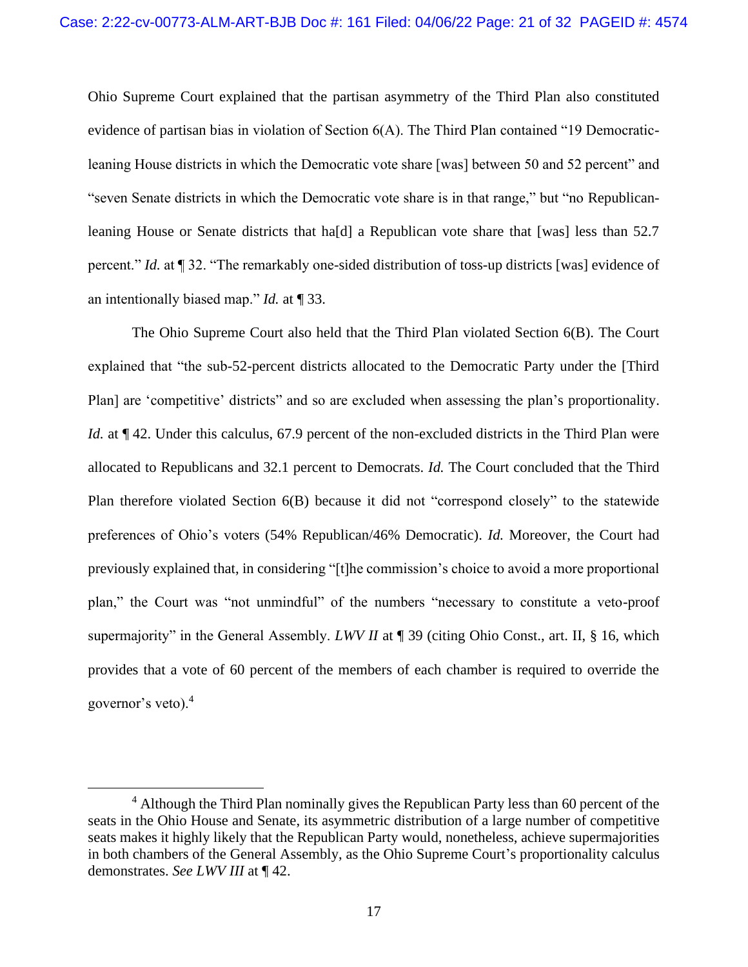Ohio Supreme Court explained that the partisan asymmetry of the Third Plan also constituted evidence of partisan bias in violation of Section 6(A). The Third Plan contained "19 Democraticleaning House districts in which the Democratic vote share [was] between 50 and 52 percent" and "seven Senate districts in which the Democratic vote share is in that range," but "no Republicanleaning House or Senate districts that ha[d] a Republican vote share that [was] less than 52.7 percent." *Id.* at ¶ 32. "The remarkably one-sided distribution of toss-up districts [was] evidence of an intentionally biased map." *Id.* at ¶ 33.

The Ohio Supreme Court also held that the Third Plan violated Section 6(B). The Court explained that "the sub-52-percent districts allocated to the Democratic Party under the [Third Plan] are 'competitive' districts" and so are excluded when assessing the plan's proportionality. *Id.* at  $\P$  42. Under this calculus, 67.9 percent of the non-excluded districts in the Third Plan were allocated to Republicans and 32.1 percent to Democrats. *Id.* The Court concluded that the Third Plan therefore violated Section 6(B) because it did not "correspond closely" to the statewide preferences of Ohio's voters (54% Republican/46% Democratic). *Id.* Moreover, the Court had previously explained that, in considering "[t]he commission's choice to avoid a more proportional plan," the Court was "not unmindful" of the numbers "necessary to constitute a veto-proof supermajority" in the General Assembly. *LWV II* at ¶ 39 (citing Ohio Const., art. II, § 16, which provides that a vote of 60 percent of the members of each chamber is required to override the governor's veto). $4$ 

<sup>&</sup>lt;sup>4</sup> Although the Third Plan nominally gives the Republican Party less than 60 percent of the seats in the Ohio House and Senate, its asymmetric distribution of a large number of competitive seats makes it highly likely that the Republican Party would, nonetheless, achieve supermajorities in both chambers of the General Assembly, as the Ohio Supreme Court's proportionality calculus demonstrates. *See LWV III* at ¶ 42.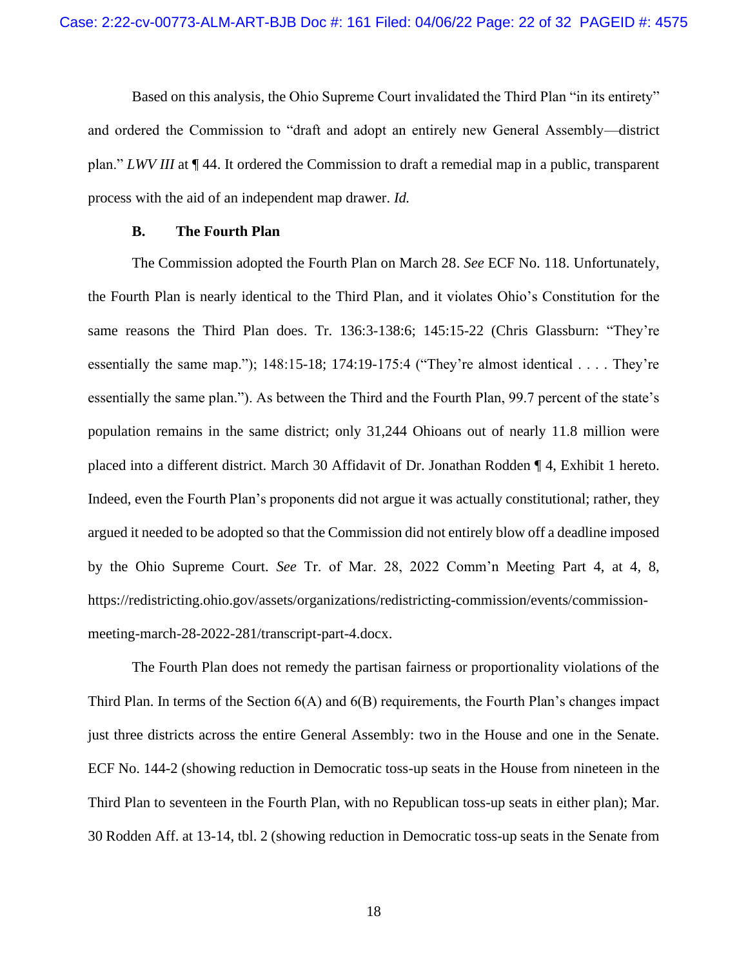Based on this analysis, the Ohio Supreme Court invalidated the Third Plan "in its entirety" and ordered the Commission to "draft and adopt an entirely new General Assembly—district plan." *LWV III* at ¶ 44. It ordered the Commission to draft a remedial map in a public, transparent process with the aid of an independent map drawer. *Id.*

#### **B. The Fourth Plan**

<span id="page-21-0"></span>The Commission adopted the Fourth Plan on March 28. *See* ECF No. 118. Unfortunately, the Fourth Plan is nearly identical to the Third Plan, and it violates Ohio's Constitution for the same reasons the Third Plan does. Tr. 136:3-138:6; 145:15-22 (Chris Glassburn: "They're essentially the same map."); 148:15-18; 174:19-175:4 ("They're almost identical . . . . They're essentially the same plan."). As between the Third and the Fourth Plan, 99.7 percent of the state's population remains in the same district; only 31,244 Ohioans out of nearly 11.8 million were placed into a different district. March 30 Affidavit of Dr. Jonathan Rodden ¶ 4, Exhibit 1 hereto. Indeed, even the Fourth Plan's proponents did not argue it was actually constitutional; rather, they argued it needed to be adopted so that the Commission did not entirely blow off a deadline imposed by the Ohio Supreme Court. *See* Tr. of Mar. 28, 2022 Comm'n Meeting Part 4, at 4, 8, https://redistricting.ohio.gov/assets/organizations/redistricting-commission/events/commissionmeeting-march-28-2022-281/transcript-part-4.docx.

The Fourth Plan does not remedy the partisan fairness or proportionality violations of the Third Plan. In terms of the Section 6(A) and 6(B) requirements, the Fourth Plan's changes impact just three districts across the entire General Assembly: two in the House and one in the Senate. ECF No. 144-2 (showing reduction in Democratic toss-up seats in the House from nineteen in the Third Plan to seventeen in the Fourth Plan, with no Republican toss-up seats in either plan); Mar. 30 Rodden Aff. at 13-14, tbl. 2 (showing reduction in Democratic toss-up seats in the Senate from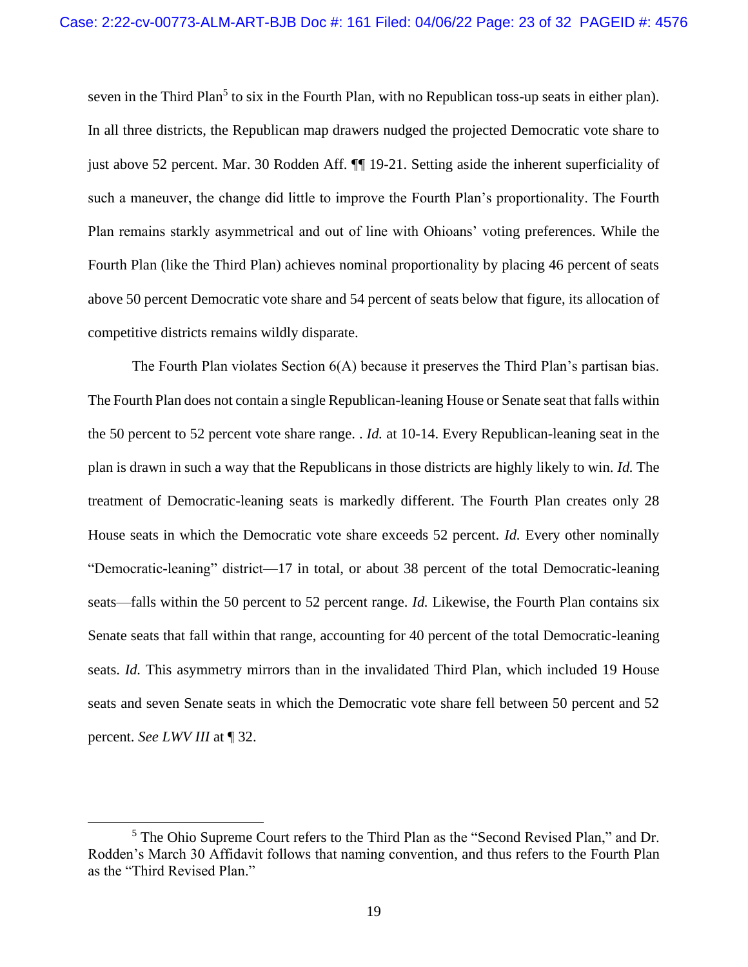seven in the Third Plan<sup>5</sup> to six in the Fourth Plan, with no Republican toss-up seats in either plan). In all three districts, the Republican map drawers nudged the projected Democratic vote share to just above 52 percent. Mar. 30 Rodden Aff. ¶¶ 19-21. Setting aside the inherent superficiality of such a maneuver, the change did little to improve the Fourth Plan's proportionality. The Fourth Plan remains starkly asymmetrical and out of line with Ohioans' voting preferences. While the Fourth Plan (like the Third Plan) achieves nominal proportionality by placing 46 percent of seats above 50 percent Democratic vote share and 54 percent of seats below that figure, its allocation of competitive districts remains wildly disparate.

The Fourth Plan violates Section 6(A) because it preserves the Third Plan's partisan bias. The Fourth Plan does not contain a single Republican-leaning House or Senate seat that falls within the 50 percent to 52 percent vote share range. . *Id.* at 10-14. Every Republican-leaning seat in the plan is drawn in such a way that the Republicans in those districts are highly likely to win. *Id.* The treatment of Democratic-leaning seats is markedly different. The Fourth Plan creates only 28 House seats in which the Democratic vote share exceeds 52 percent. *Id.* Every other nominally "Democratic-leaning" district—17 in total, or about 38 percent of the total Democratic-leaning seats—falls within the 50 percent to 52 percent range. *Id.* Likewise, the Fourth Plan contains six Senate seats that fall within that range, accounting for 40 percent of the total Democratic-leaning seats. *Id.* This asymmetry mirrors than in the invalidated Third Plan, which included 19 House seats and seven Senate seats in which the Democratic vote share fell between 50 percent and 52 percent. *See LWV III* at ¶ 32.

<sup>&</sup>lt;sup>5</sup> The Ohio Supreme Court refers to the Third Plan as the "Second Revised Plan," and Dr. Rodden's March 30 Affidavit follows that naming convention, and thus refers to the Fourth Plan as the "Third Revised Plan."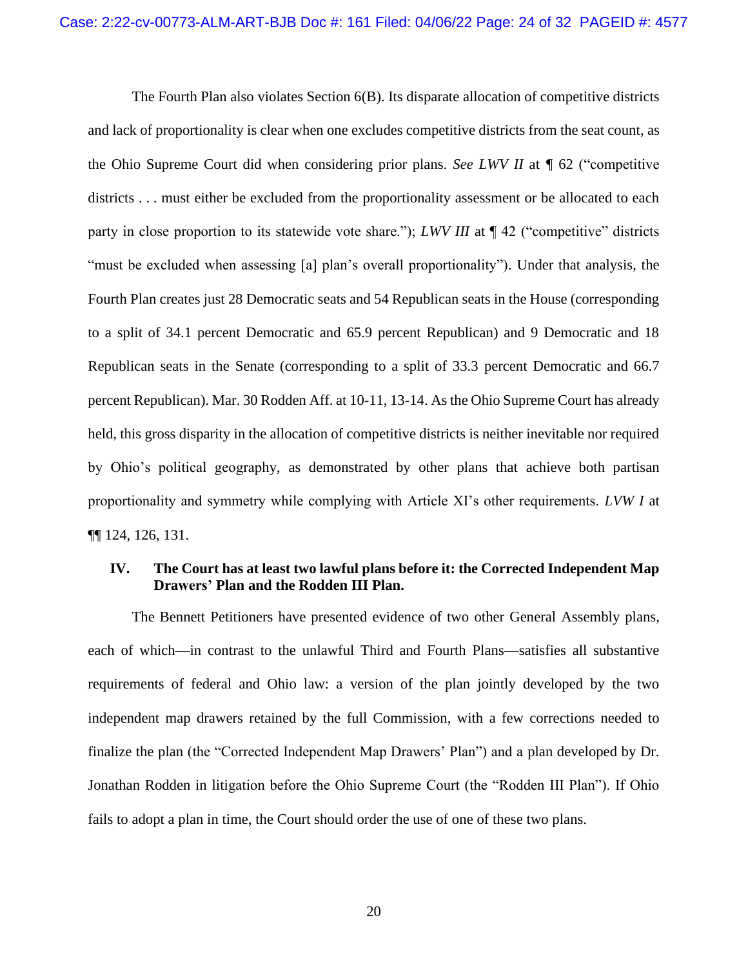The Fourth Plan also violates Section 6(B). Its disparate allocation of competitive districts and lack of proportionality is clear when one excludes competitive districts from the seat count, as the Ohio Supreme Court did when considering prior plans. *See LWV II* at *¶* 62 ("competitive districts . . . must either be excluded from the proportionality assessment or be allocated to each party in close proportion to its statewide vote share."); *LWV III* at  $\P$  42 ("competitive" districts "must be excluded when assessing [a] plan's overall proportionality"). Under that analysis, the Fourth Plan creates just 28 Democratic seats and 54 Republican seats in the House (corresponding to a split of 34.1 percent Democratic and 65.9 percent Republican) and 9 Democratic and 18 Republican seats in the Senate (corresponding to a split of 33.3 percent Democratic and 66.7 percent Republican). Mar. 30 Rodden Aff. at 10-11, 13-14. As the Ohio Supreme Court has already held, this gross disparity in the allocation of competitive districts is neither inevitable nor required by Ohio's political geography, as demonstrated by other plans that achieve both partisan proportionality and symmetry while complying with Article XI's other requirements. *LVW I* at ¶¶ 124, 126, 131.

## <span id="page-23-0"></span>**IV. The Court has at least two lawful plans before it: the Corrected Independent Map Drawers' Plan and the Rodden III Plan.**

The Bennett Petitioners have presented evidence of two other General Assembly plans, each of which—in contrast to the unlawful Third and Fourth Plans—satisfies all substantive requirements of federal and Ohio law: a version of the plan jointly developed by the two independent map drawers retained by the full Commission, with a few corrections needed to finalize the plan (the "Corrected Independent Map Drawers' Plan") and a plan developed by Dr. Jonathan Rodden in litigation before the Ohio Supreme Court (the "Rodden III Plan"). If Ohio fails to adopt a plan in time, the Court should order the use of one of these two plans.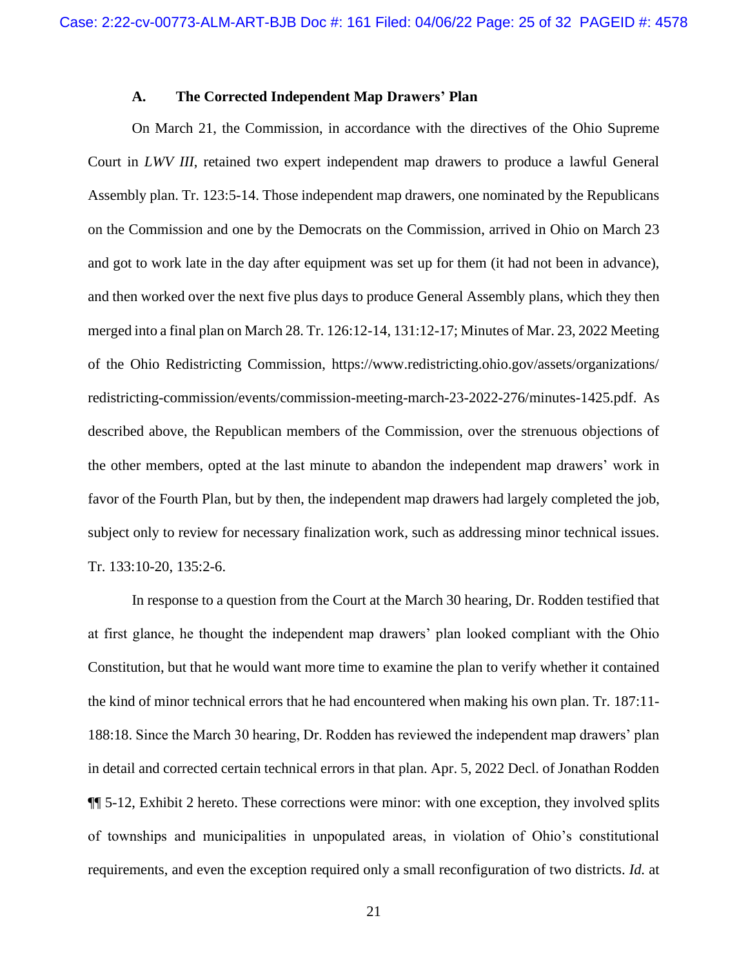#### **A. The Corrected Independent Map Drawers' Plan**

<span id="page-24-0"></span>On March 21, the Commission, in accordance with the directives of the Ohio Supreme Court in *LWV III*, retained two expert independent map drawers to produce a lawful General Assembly plan. Tr. 123:5-14. Those independent map drawers, one nominated by the Republicans on the Commission and one by the Democrats on the Commission, arrived in Ohio on March 23 and got to work late in the day after equipment was set up for them (it had not been in advance), and then worked over the next five plus days to produce General Assembly plans, which they then merged into a final plan on March 28. Tr. 126:12-14, 131:12-17; Minutes of Mar. 23, 2022 Meeting of the Ohio Redistricting Commission, https://www.redistricting.ohio.gov/assets/organizations/ redistricting-commission/events/commission-meeting-march-23-2022-276/minutes-1425.pdf. As described above, the Republican members of the Commission, over the strenuous objections of the other members, opted at the last minute to abandon the independent map drawers' work in favor of the Fourth Plan, but by then, the independent map drawers had largely completed the job, subject only to review for necessary finalization work, such as addressing minor technical issues. Tr. 133:10-20, 135:2-6.

In response to a question from the Court at the March 30 hearing, Dr. Rodden testified that at first glance, he thought the independent map drawers' plan looked compliant with the Ohio Constitution, but that he would want more time to examine the plan to verify whether it contained the kind of minor technical errors that he had encountered when making his own plan. Tr. 187:11- 188:18. Since the March 30 hearing, Dr. Rodden has reviewed the independent map drawers' plan in detail and corrected certain technical errors in that plan. Apr. 5, 2022 Decl. of Jonathan Rodden ¶¶ 5-12, Exhibit 2 hereto. These corrections were minor: with one exception, they involved splits of townships and municipalities in unpopulated areas, in violation of Ohio's constitutional requirements, and even the exception required only a small reconfiguration of two districts. *Id.* at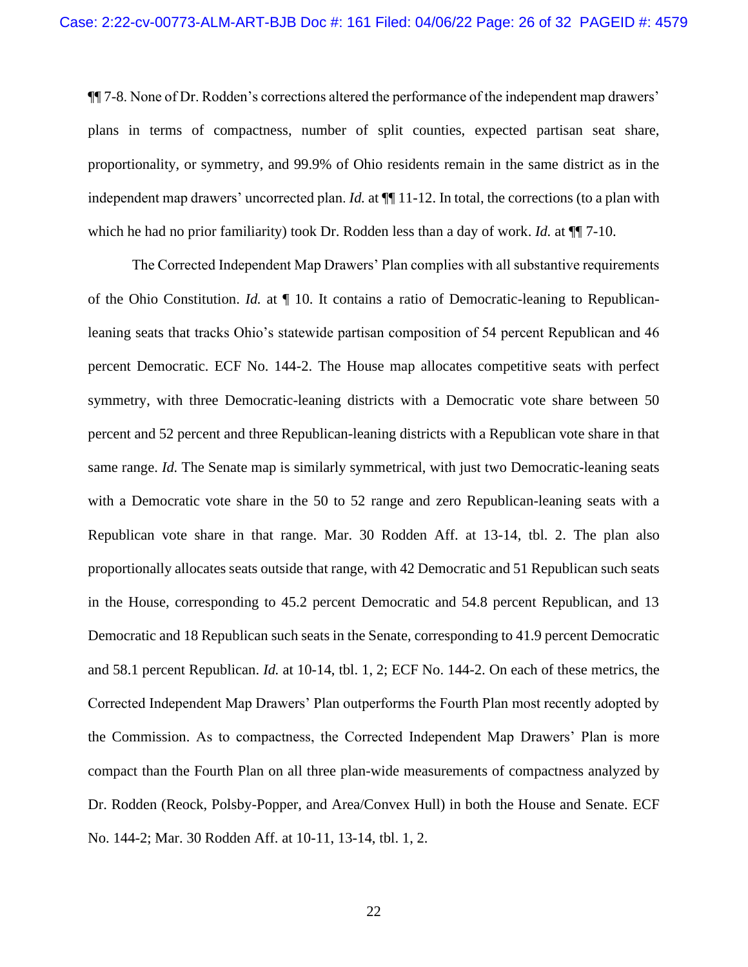¶¶ 7-8. None of Dr. Rodden's corrections altered the performance of the independent map drawers' plans in terms of compactness, number of split counties, expected partisan seat share, proportionality, or symmetry, and 99.9% of Ohio residents remain in the same district as in the independent map drawers' uncorrected plan. *Id.* at ¶¶ 11-12. In total, the corrections (to a plan with which he had no prior familiarity) took Dr. Rodden less than a day of work. *Id.* at ¶¶ 7-10.

The Corrected Independent Map Drawers' Plan complies with all substantive requirements of the Ohio Constitution. *Id.* at ¶ 10. It contains a ratio of Democratic-leaning to Republicanleaning seats that tracks Ohio's statewide partisan composition of 54 percent Republican and 46 percent Democratic. ECF No. 144-2. The House map allocates competitive seats with perfect symmetry, with three Democratic-leaning districts with a Democratic vote share between 50 percent and 52 percent and three Republican-leaning districts with a Republican vote share in that same range. *Id.* The Senate map is similarly symmetrical, with just two Democratic-leaning seats with a Democratic vote share in the 50 to 52 range and zero Republican-leaning seats with a Republican vote share in that range. Mar. 30 Rodden Aff. at 13-14, tbl. 2. The plan also proportionally allocates seats outside that range, with 42 Democratic and 51 Republican such seats in the House, corresponding to 45.2 percent Democratic and 54.8 percent Republican, and 13 Democratic and 18 Republican such seats in the Senate, corresponding to 41.9 percent Democratic and 58.1 percent Republican. *Id.* at 10-14, tbl. 1, 2; ECF No. 144-2. On each of these metrics, the Corrected Independent Map Drawers' Plan outperforms the Fourth Plan most recently adopted by the Commission. As to compactness, the Corrected Independent Map Drawers' Plan is more compact than the Fourth Plan on all three plan-wide measurements of compactness analyzed by Dr. Rodden (Reock, Polsby-Popper, and Area/Convex Hull) in both the House and Senate. ECF No. 144-2; Mar. 30 Rodden Aff. at 10-11, 13-14, tbl. 1, 2.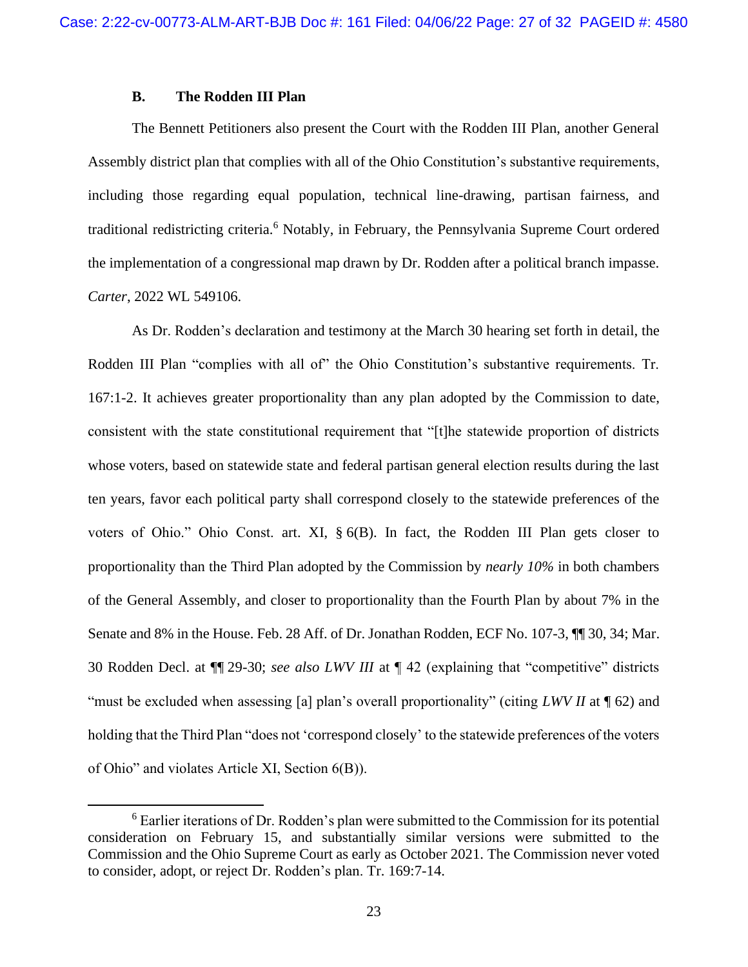### **B. The Rodden III Plan**

<span id="page-26-0"></span>The Bennett Petitioners also present the Court with the Rodden III Plan, another General Assembly district plan that complies with all of the Ohio Constitution's substantive requirements, including those regarding equal population, technical line-drawing, partisan fairness, and traditional redistricting criteria.<sup>6</sup> Notably, in February, the Pennsylvania Supreme Court ordered the implementation of a congressional map drawn by Dr. Rodden after a political branch impasse. *Carter*, 2022 WL 549106.

<span id="page-26-1"></span>As Dr. Rodden's declaration and testimony at the March 30 hearing set forth in detail, the Rodden III Plan "complies with all of" the Ohio Constitution's substantive requirements. Tr. 167:1-2. It achieves greater proportionality than any plan adopted by the Commission to date, consistent with the state constitutional requirement that "[t]he statewide proportion of districts whose voters, based on statewide state and federal partisan general election results during the last ten years, favor each political party shall correspond closely to the statewide preferences of the voters of Ohio." Ohio Const. art. XI, § 6(B). In fact, the Rodden III Plan gets closer to proportionality than the Third Plan adopted by the Commission by *nearly 10%* in both chambers of the General Assembly, and closer to proportionality than the Fourth Plan by about 7% in the Senate and 8% in the House. Feb. 28 Aff. of Dr. Jonathan Rodden, ECF No. 107-3, ¶¶ 30, 34; Mar. 30 Rodden Decl. at ¶¶ 29-30; *see also LWV III* at ¶ 42 (explaining that "competitive" districts "must be excluded when assessing [a] plan's overall proportionality" (citing *LWV II* at ¶ 62) and holding that the Third Plan "does not 'correspond closely' to the statewide preferences of the voters of Ohio" and violates Article XI, Section 6(B)).

<sup>6</sup> Earlier iterations of Dr. Rodden's plan were submitted to the Commission for its potential consideration on February 15, and substantially similar versions were submitted to the Commission and the Ohio Supreme Court as early as October 2021. The Commission never voted to consider, adopt, or reject Dr. Rodden's plan. Tr. 169:7-14.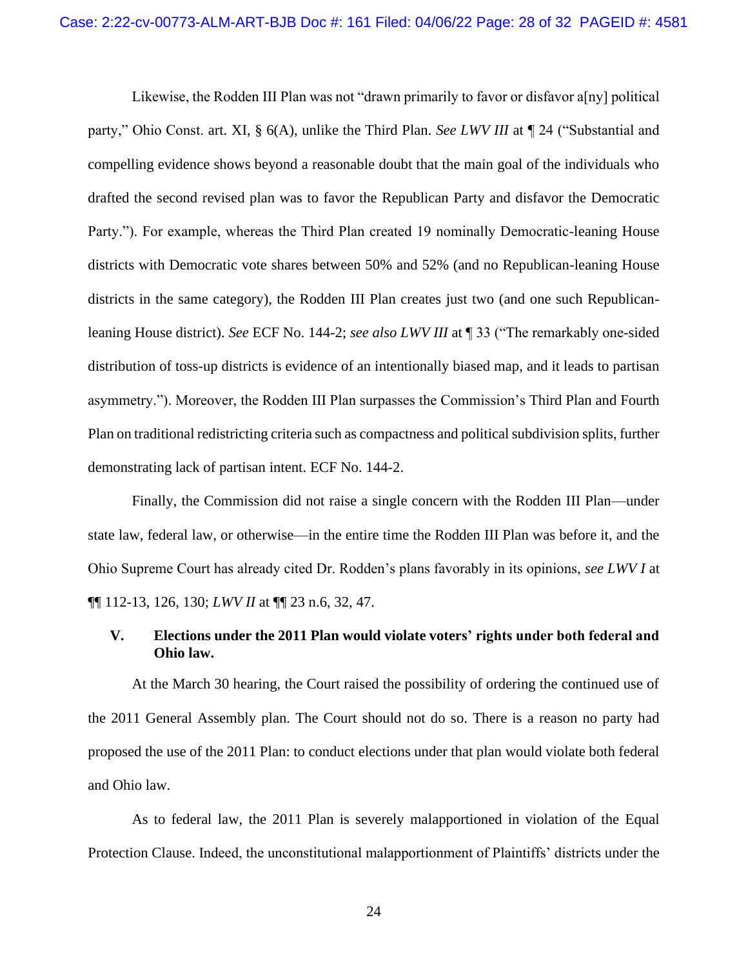Likewise, the Rodden III Plan was not "drawn primarily to favor or disfavor a[ny] political party," Ohio Const. art. XI, § 6(A), unlike the Third Plan. *See LWV III* at ¶ 24 ("Substantial and compelling evidence shows beyond a reasonable doubt that the main goal of the individuals who drafted the second revised plan was to favor the Republican Party and disfavor the Democratic Party."). For example, whereas the Third Plan created 19 nominally Democratic-leaning House districts with Democratic vote shares between 50% and 52% (and no Republican-leaning House districts in the same category), the Rodden III Plan creates just two (and one such Republicanleaning House district). *See* ECF No. 144-2; *see also LWV III* at ¶ 33 ("The remarkably one-sided distribution of toss-up districts is evidence of an intentionally biased map, and it leads to partisan asymmetry."). Moreover, the Rodden III Plan surpasses the Commission's Third Plan and Fourth Plan on traditional redistricting criteria such as compactness and political subdivision splits, further demonstrating lack of partisan intent. ECF No. 144-2.

Finally, the Commission did not raise a single concern with the Rodden III Plan—under state law, federal law, or otherwise—in the entire time the Rodden III Plan was before it, and the Ohio Supreme Court has already cited Dr. Rodden's plans favorably in its opinions, *see LWV I* at ¶¶ 112-13, 126, 130; *LWV II* at ¶¶ 23 n.6, 32, 47.

## <span id="page-27-0"></span>**V. Elections under the 2011 Plan would violate voters' rights under both federal and Ohio law.**

At the March 30 hearing, the Court raised the possibility of ordering the continued use of the 2011 General Assembly plan. The Court should not do so. There is a reason no party had proposed the use of the 2011 Plan: to conduct elections under that plan would violate both federal and Ohio law.

As to federal law, the 2011 Plan is severely malapportioned in violation of the Equal Protection Clause. Indeed, the unconstitutional malapportionment of Plaintiffs' districts under the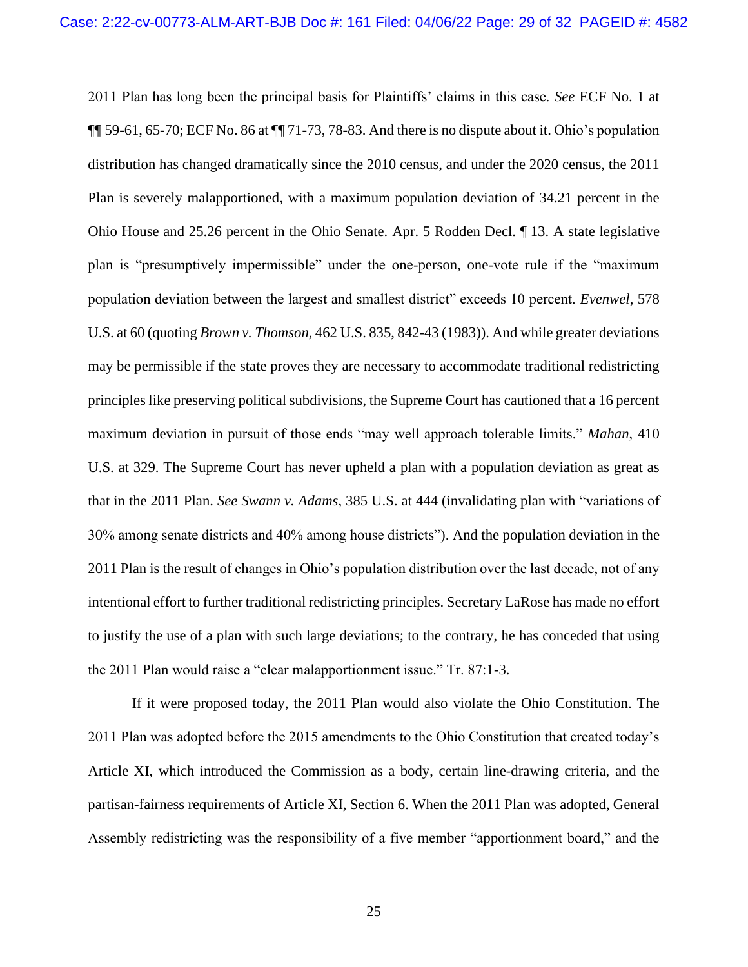<span id="page-28-0"></span>2011 Plan has long been the principal basis for Plaintiffs' claims in this case. *See* ECF No. 1 at  $\P\P$  59-61, 65-70; ECF No. 86 at  $\P\P$  71-73, 78-83. And there is no dispute about it. Ohio's population distribution has changed dramatically since the 2010 census, and under the 2020 census, the 2011 Plan is severely malapportioned, with a maximum population deviation of 34.21 percent in the Ohio House and 25.26 percent in the Ohio Senate. Apr. 5 Rodden Decl. ¶ 13. A state legislative plan is "presumptively impermissible" under the one-person, one-vote rule if the "maximum population deviation between the largest and smallest district" exceeds 10 percent. *Evenwel*, 578 U.S. at 60 (quoting *Brown v. Thomson*, 462 U.S. 835, 842-43 (1983)). And while greater deviations may be permissible if the state proves they are necessary to accommodate traditional redistricting principles like preserving political subdivisions, the Supreme Court has cautioned that a 16 percent maximum deviation in pursuit of those ends "may well approach tolerable limits." *Mahan*, 410 U.S. at 329. The Supreme Court has never upheld a plan with a population deviation as great as that in the 2011 Plan. *See Swann v. Adams*, 385 U.S. at 444 (invalidating plan with "variations of 30% among senate districts and 40% among house districts"). And the population deviation in the 2011 Plan is the result of changes in Ohio's population distribution over the last decade, not of any intentional effort to further traditional redistricting principles. Secretary LaRose has made no effort to justify the use of a plan with such large deviations; to the contrary, he has conceded that using the 2011 Plan would raise a "clear malapportionment issue." Tr. 87:1-3.

<span id="page-28-2"></span><span id="page-28-1"></span>If it were proposed today, the 2011 Plan would also violate the Ohio Constitution. The 2011 Plan was adopted before the 2015 amendments to the Ohio Constitution that created today's Article XI, which introduced the Commission as a body, certain line-drawing criteria, and the partisan-fairness requirements of Article XI, Section 6. When the 2011 Plan was adopted, General Assembly redistricting was the responsibility of a five member "apportionment board," and the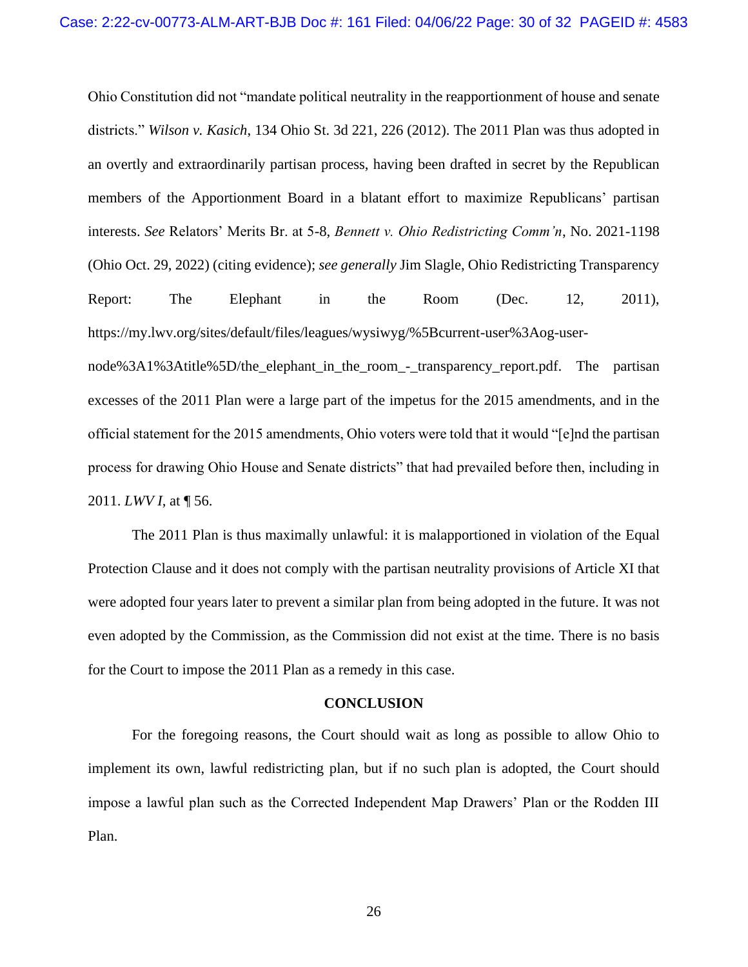<span id="page-29-1"></span>Ohio Constitution did not "mandate political neutrality in the reapportionment of house and senate districts." *Wilson v. Kasich*, 134 Ohio St. 3d 221, 226 (2012). The 2011 Plan was thus adopted in an overtly and extraordinarily partisan process, having been drafted in secret by the Republican members of the Apportionment Board in a blatant effort to maximize Republicans' partisan interests. *See* Relators' Merits Br. at 5-8, *Bennett v. Ohio Redistricting Comm'n*, No. 2021-1198 (Ohio Oct. 29, 2022) (citing evidence); *see generally* Jim Slagle, Ohio Redistricting Transparency Report: The Elephant in the Room (Dec. 12, 2011), https://my.lwv.org/sites/default/files/leagues/wysiwyg/%5Bcurrent-user%3Aog-user-

node%3A1%3Atitle%5D/the\_elephant\_in\_the\_room\_-\_transparency\_report.pdf. The partisan excesses of the 2011 Plan were a large part of the impetus for the 2015 amendments, and in the official statement for the 2015 amendments, Ohio voters were told that it would "[e]nd the partisan process for drawing Ohio House and Senate districts" that had prevailed before then, including in 2011. *LWV I*, at ¶ 56.

The 2011 Plan is thus maximally unlawful: it is malapportioned in violation of the Equal Protection Clause and it does not comply with the partisan neutrality provisions of Article XI that were adopted four years later to prevent a similar plan from being adopted in the future. It was not even adopted by the Commission, as the Commission did not exist at the time. There is no basis for the Court to impose the 2011 Plan as a remedy in this case.

#### **CONCLUSION**

<span id="page-29-0"></span>For the foregoing reasons, the Court should wait as long as possible to allow Ohio to implement its own, lawful redistricting plan, but if no such plan is adopted, the Court should impose a lawful plan such as the Corrected Independent Map Drawers' Plan or the Rodden III Plan.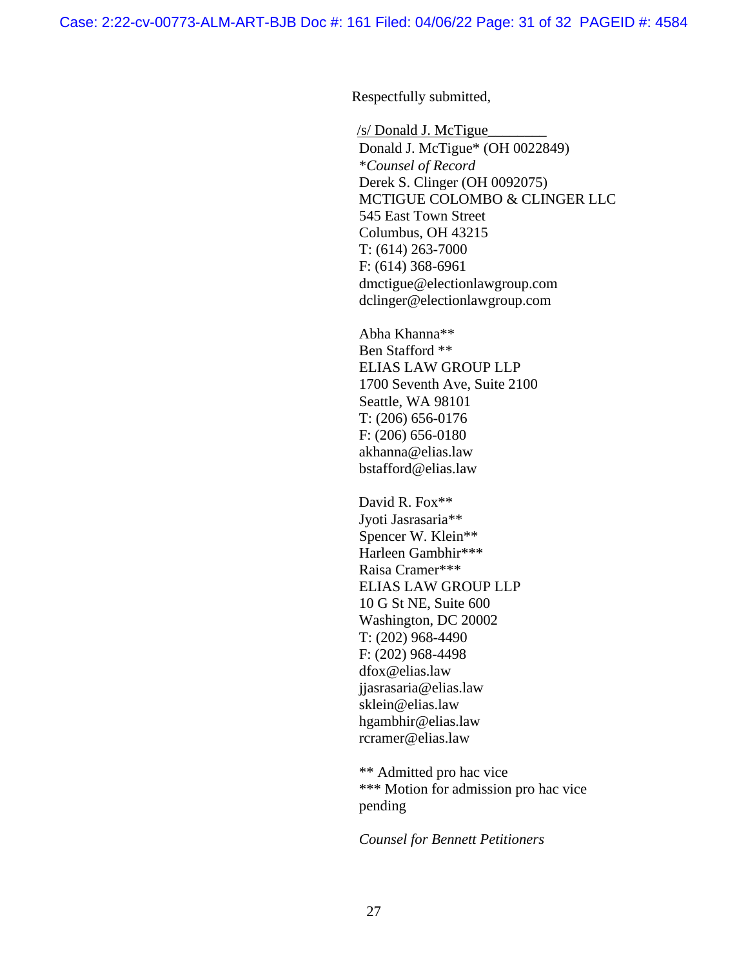Respectfully submitted,

/s/ Donald J. McTigue\_\_\_\_\_\_\_\_ Donald J. McTigue\* (OH 0022849) \**Counsel of Record*  Derek S. Clinger (OH 0092075) MCTIGUE COLOMBO & CLINGER LLC 545 East Town Street Columbus, OH 43215 T: (614) 263-7000 F: (614) 368-6961 dmctigue@electionlawgroup.com dclinger@electionlawgroup.com

Abha Khanna\*\* Ben Stafford \*\* ELIAS LAW GROUP LLP 1700 Seventh Ave, Suite 2100 Seattle, WA 98101 T: (206) 656-0176 F: (206) 656-0180 akhanna@elias.law bstafford@elias.law

David R. Fox\*\* Jyoti Jasrasaria\*\* Spencer W. Klein\*\* Harleen Gambhir\*\*\* Raisa Cramer\*\*\* ELIAS LAW GROUP LLP 10 G St NE, Suite 600 Washington, DC 20002 T: (202) 968-4490 F: (202) 968-4498 dfox@elias.law jjasrasaria@elias.law sklein@elias.law hgambhir@elias.law rcramer@elias.law

\*\* Admitted pro hac vice \*\*\* Motion for admission pro hac vice pending

*Counsel for Bennett Petitioners*